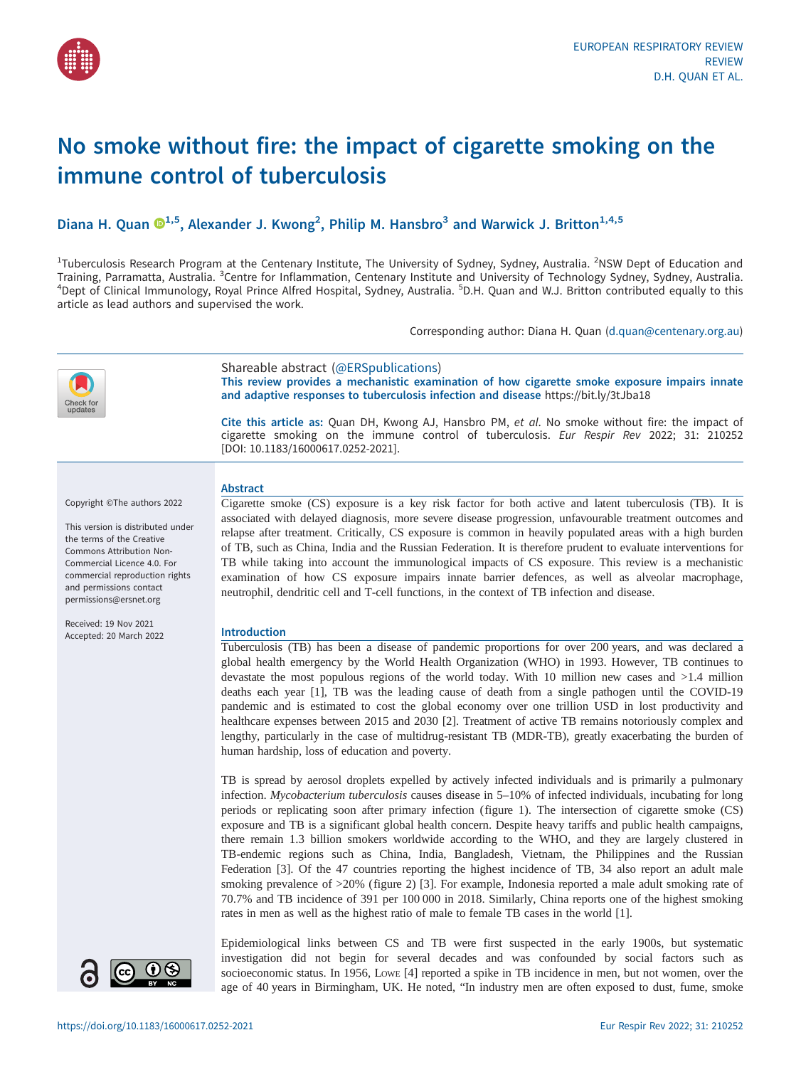

# No smoke without fire: the impact of cigarette smoking on the immune control of tuberculosis

# Diana H. Quan  $\mathbb{D}^{1,5}$  $\mathbb{D}^{1,5}$  $\mathbb{D}^{1,5}$ , Alexander J. Kwong<sup>2</sup>, Philip M. Hansbro<sup>3</sup> and Warwick J. Britton<sup>1,4,5</sup>

<sup>1</sup>Tuberculosis Research Program at the Centenary Institute, The University of Sydney, Sydney, Australia. <sup>2</sup>NSW Dept of Education and Training, Parramatta, Australia. <sup>3</sup>Centre for Inflammation, Centenary Institute and University of Technology Sydney, Sydney, Australia.<br><sup>4</sup>Dent of Clinical Immunology, Poval Prince Alfred Hospital, Sydney, Australia. <sup>5</sup>D Dept of Clinical Immunology, Royal Prince Alfred Hospital, Sydney, Australia. <sup>5</sup>D.H. Quan and W.J. Britton contributed equally to this article as lead authors and supervised the work.

Corresponding author: Diana H. Quan ([d.quan@centenary.org.au](mailto:d.quan@centenary.org.au))



Shareable abstract (@ERSpublications) This review provides a mechanistic examination of how cigarette smoke exposure impairs innate and adaptive responses to tuberculosis infection and disease <https://bit.ly/3tJba18>

Cite this article as: Quan DH, Kwong AJ, Hansbro PM, et al. No smoke without fire: the impact of cigarette smoking on the immune control of tuberculosis. Eur Respir Rev 2022; 31: 210252 [\[DOI: 10.1183/16000617.0252-2021\].](https://doi.org/10.1183/16000617.0252-2021)

Copyright ©The authors 2022

This version is distributed under the terms of the Creative Commons Attribution Non-Commercial Licence 4.0. For commercial reproduction rights and permissions contact [permissions@ersnet.org](mailto:permissions@ersnet.org)

Received: 19 Nov 2021 Accepted: 20 March 2022

#### Abstract

Cigarette smoke (CS) exposure is a key risk factor for both active and latent tuberculosis (TB). It is associated with delayed diagnosis, more severe disease progression, unfavourable treatment outcomes and relapse after treatment. Critically, CS exposure is common in heavily populated areas with a high burden of TB, such as China, India and the Russian Federation. It is therefore prudent to evaluate interventions for TB while taking into account the immunological impacts of CS exposure. This review is a mechanistic examination of how CS exposure impairs innate barrier defences, as well as alveolar macrophage, neutrophil, dendritic cell and T-cell functions, in the context of TB infection and disease.

# Introduction

Tuberculosis (TB) has been a disease of pandemic proportions for over 200 years, and was declared a global health emergency by the World Health Organization (WHO) in 1993. However, TB continues to devastate the most populous regions of the world today. With 10 million new cases and >1.4 million deaths each year [[1](#page-12-0)], TB was the leading cause of death from a single pathogen until the COVID-19 pandemic and is estimated to cost the global economy over one trillion USD in lost productivity and healthcare expenses between 2015 and 2030 [[2](#page-12-0)]. Treatment of active TB remains notoriously complex and lengthy, particularly in the case of multidrug-resistant TB (MDR-TB), greatly exacerbating the burden of human hardship, loss of education and poverty.

TB is spread by aerosol droplets expelled by actively infected individuals and is primarily a pulmonary infection. Mycobacterium tuberculosis causes disease in 5–10% of infected individuals, incubating for long periods or replicating soon after primary infection ([figure 1](#page-1-0)). The intersection of cigarette smoke (CS) exposure and TB is a significant global health concern. Despite heavy tariffs and public health campaigns, there remain 1.3 billion smokers worldwide according to the WHO, and they are largely clustered in TB-endemic regions such as China, India, Bangladesh, Vietnam, the Philippines and the Russian Federation [[3](#page-12-0)]. Of the 47 countries reporting the highest incidence of TB, 34 also report an adult male smoking prevalence of >20% [\(figure 2](#page-2-0)) [\[3\]](#page-12-0). For example, Indonesia reported a male adult smoking rate of 70.7% and TB incidence of 391 per 100 000 in 2018. Similarly, China reports one of the highest smoking rates in men as well as the highest ratio of male to female TB cases in the world [[1](#page-12-0)].

 $\mathbf{\Theta}$ 

Epidemiological links between CS and TB were first suspected in the early 1900s, but systematic investigation did not begin for several decades and was confounded by social factors such as socioeconomic status. In 1956, Lowe [\[4\]](#page-12-0) reported a spike in TB incidence in men, but not women, over the age of 40 years in Birmingham, UK. He noted, "In industry men are often exposed to dust, fume, smoke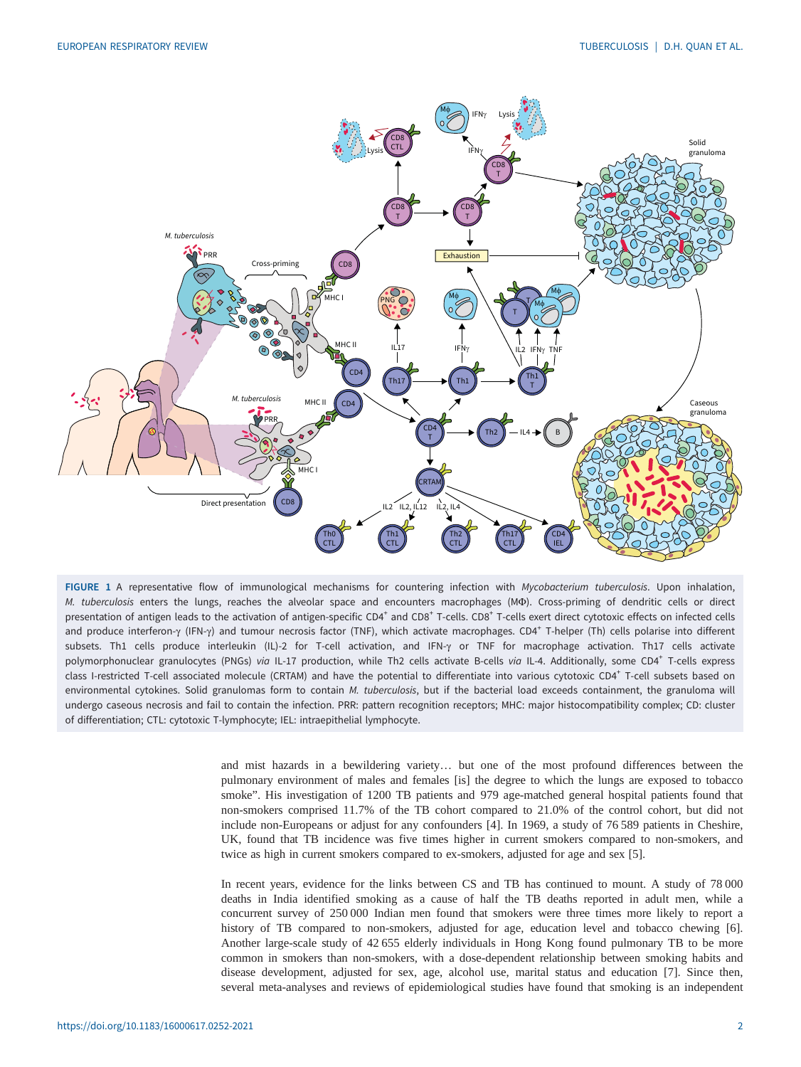<span id="page-1-0"></span>

FIGURE 1 A representative flow of immunological mechanisms for countering infection with Mycobacterium tuberculosis. Upon inhalation, M. tuberculosis enters the lungs, reaches the alveolar space and encounters macrophages (MΦ). Cross-priming of dendritic cells or direct presentation of antigen leads to the activation of antigen-specific CD4<sup>+</sup> and CD8<sup>+</sup> T-cells. CD8<sup>+</sup> T-cells exert direct cytotoxic effects on infected cells and produce interferon-γ (IFN-γ) and tumour necrosis factor (TNF), which activate macrophages. CD4<sup>+</sup> T-helper (Th) cells polarise into different subsets. Th1 cells produce interleukin (IL)-2 for T-cell activation, and IFN-γ or TNF for macrophage activation. Th17 cells activate polymorphonuclear granulocytes (PNGs) via IL-17 production, while Th2 cells activate B-cells via IL-4. Additionally, some CD4<sup>+</sup> T-cells express class I-restricted T-cell associated molecule (CRTAM) and have the potential to differentiate into various cytotoxic CD4<sup>+</sup> T-cell subsets based on environmental cytokines. Solid granulomas form to contain M. tuberculosis, but if the bacterial load exceeds containment, the granuloma will undergo caseous necrosis and fail to contain the infection. PRR: pattern recognition receptors; MHC: major histocompatibility complex; CD: cluster of differentiation; CTL: cytotoxic T-lymphocyte; IEL: intraepithelial lymphocyte.

and mist hazards in a bewildering variety… but one of the most profound differences between the pulmonary environment of males and females [is] the degree to which the lungs are exposed to tobacco smoke". His investigation of 1200 TB patients and 979 age-matched general hospital patients found that non-smokers comprised 11.7% of the TB cohort compared to 21.0% of the control cohort, but did not include non-Europeans or adjust for any confounders [[4](#page-12-0)]. In 1969, a study of 76 589 patients in Cheshire, UK, found that TB incidence was five times higher in current smokers compared to non-smokers, and twice as high in current smokers compared to ex-smokers, adjusted for age and sex [\[5](#page-13-0)].

In recent years, evidence for the links between CS and TB has continued to mount. A study of 78 000 deaths in India identified smoking as a cause of half the TB deaths reported in adult men, while a concurrent survey of 250 000 Indian men found that smokers were three times more likely to report a history of TB compared to non-smokers, adjusted for age, education level and tobacco chewing [\[6\]](#page-13-0). Another large-scale study of 42 655 elderly individuals in Hong Kong found pulmonary TB to be more common in smokers than non-smokers, with a dose-dependent relationship between smoking habits and disease development, adjusted for sex, age, alcohol use, marital status and education [[7](#page-13-0)]. Since then, several meta-analyses and reviews of epidemiological studies have found that smoking is an independent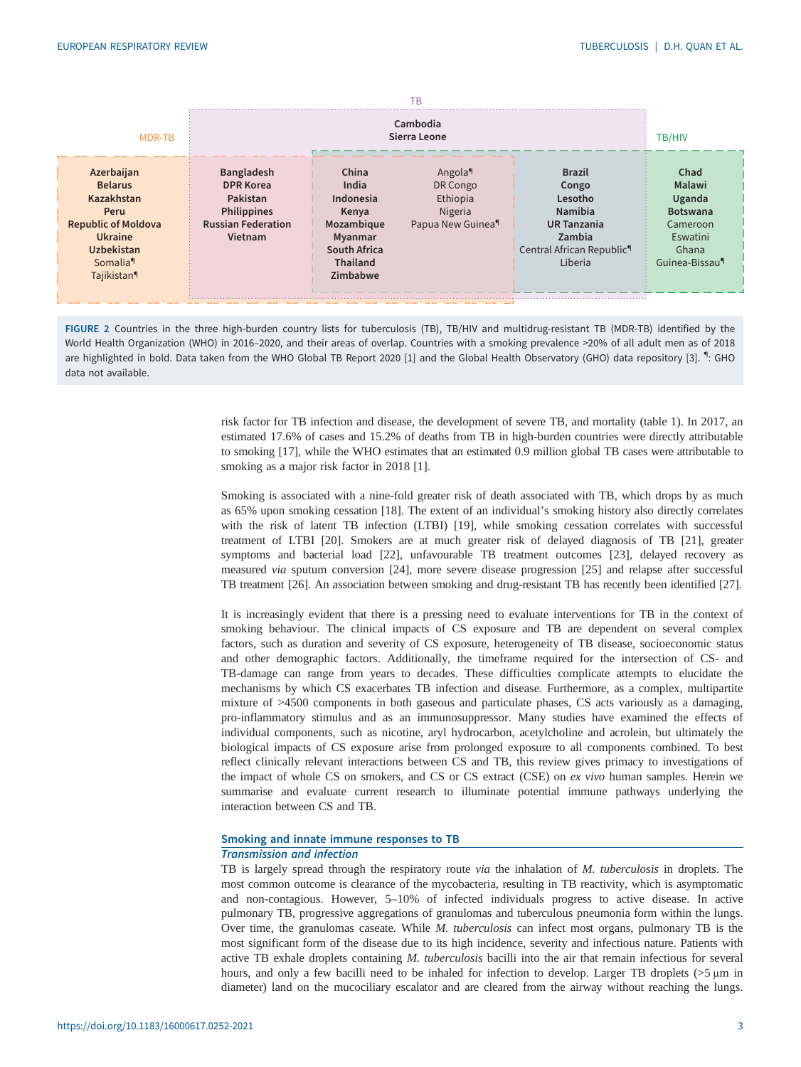<span id="page-2-0"></span>

| <b>MDR-TB</b>                                                                                                                                                              |                                                                                                                 | TB/HIV                                                                                                       |                                                                            |                                                                                                                                  |                                                                                                            |
|----------------------------------------------------------------------------------------------------------------------------------------------------------------------------|-----------------------------------------------------------------------------------------------------------------|--------------------------------------------------------------------------------------------------------------|----------------------------------------------------------------------------|----------------------------------------------------------------------------------------------------------------------------------|------------------------------------------------------------------------------------------------------------|
| Azerbaijan<br><b>Belarus</b><br>Kazakhstan<br>Peru<br><b>Republic of Moldova</b><br><b>Ukraine</b><br><b>Uzbekistan</b><br>Somalia <sup>q</sup><br>Tajikistan <sup>¶</sup> | <b>Bangladesh</b><br><b>DPR Korea</b><br>Pakistan<br><b>Philippines</b><br><b>Russian Federation</b><br>Vietnam | China<br>India<br>Indonesia<br>Kenya<br>Mozambique<br>Myanmar<br>South Africa<br><b>Thailand</b><br>Zimbabwe | Angola<br>DR Congo<br>Ethiopia<br>Nigeria<br>Papua New Guinea <sup>9</sup> | <b>Brazil</b><br>Congo<br>Lesotho<br>Namibia<br><b>UR Tanzania</b><br>Zambia<br>Central African Republic <sup>9</sup><br>Liberia | Chad<br>Malawi<br>Uganda<br><b>Botswana</b><br>Cameroon<br>Eswatini<br>Ghana<br>Guinea-Bissau <sup>¶</sup> |

FIGURE 2 Countries in the three high-burden country lists for tuberculosis (TB), TB/HIV and multidrug-resistant TB (MDR-TB) identified by the World Health Organization (WHO) in 2016–2020, and their areas of overlap. Countries with a smoking prevalence >20% of all adult men as of 2018 are highlighted in bold. Data taken from the WHO Global TB Report 2020 [\[1](#page-12-0)] and the Global Health Observatory (GHO) data repository [[3](#page-12-0)]. ": GHO data not available.

> risk factor for TB infection and disease, the development of severe TB, and mortality ([table 1](#page-3-0)). In 2017, an estimated 17.6% of cases and 15.2% of deaths from TB in high-burden countries were directly attributable to smoking [\[17\]](#page-13-0), while the WHO estimates that an estimated 0.9 million global TB cases were attributable to smoking as a major risk factor in 20[1](#page-12-0)8 [1].

> Smoking is associated with a nine-fold greater risk of death associated with TB, which drops by as much as 65% upon smoking cessation [\[18](#page-13-0)]. The extent of an individual's smoking history also directly correlates with the risk of latent TB infection (LTBI) [\[19\]](#page-13-0), while smoking cessation correlates with successful treatment of LTBI [[20\]](#page-13-0). Smokers are at much greater risk of delayed diagnosis of TB [[21\]](#page-13-0), greater symptoms and bacterial load [\[22](#page-13-0)], unfavourable TB treatment outcomes [\[23](#page-13-0)], delayed recovery as measured via sputum conversion [\[24](#page-13-0)], more severe disease progression [[25\]](#page-13-0) and relapse after successful TB treatment [\[26](#page-13-0)]. An association between smoking and drug-resistant TB has recently been identified [[27\]](#page-13-0).

> It is increasingly evident that there is a pressing need to evaluate interventions for TB in the context of smoking behaviour. The clinical impacts of CS exposure and TB are dependent on several complex factors, such as duration and severity of CS exposure, heterogeneity of TB disease, socioeconomic status and other demographic factors. Additionally, the timeframe required for the intersection of CS- and TB-damage can range from years to decades. These difficulties complicate attempts to elucidate the mechanisms by which CS exacerbates TB infection and disease. Furthermore, as a complex, multipartite mixture of >4500 components in both gaseous and particulate phases, CS acts variously as a damaging, pro-inflammatory stimulus and as an immunosuppressor. Many studies have examined the effects of individual components, such as nicotine, aryl hydrocarbon, acetylcholine and acrolein, but ultimately the biological impacts of CS exposure arise from prolonged exposure to all components combined. To best reflect clinically relevant interactions between CS and TB, this review gives primacy to investigations of the impact of whole CS on smokers, and CS or CS extract (CSE) on ex vivo human samples. Herein we summarise and evaluate current research to illuminate potential immune pathways underlying the interaction between CS and TB.

# Smoking and innate immune responses to TB

## Transmission and infection

TB is largely spread through the respiratory route via the inhalation of M. tuberculosis in droplets. The most common outcome is clearance of the mycobacteria, resulting in TB reactivity, which is asymptomatic and non-contagious. However, 5–10% of infected individuals progress to active disease. In active pulmonary TB, progressive aggregations of granulomas and tuberculous pneumonia form within the lungs. Over time, the granulomas caseate. While M. tuberculosis can infect most organs, pulmonary TB is the most significant form of the disease due to its high incidence, severity and infectious nature. Patients with active TB exhale droplets containing M. tuberculosis bacilli into the air that remain infectious for several hours, and only a few bacilli need to be inhaled for infection to develop. Larger TB droplets (>5 μm in diameter) land on the mucociliary escalator and are cleared from the airway without reaching the lungs.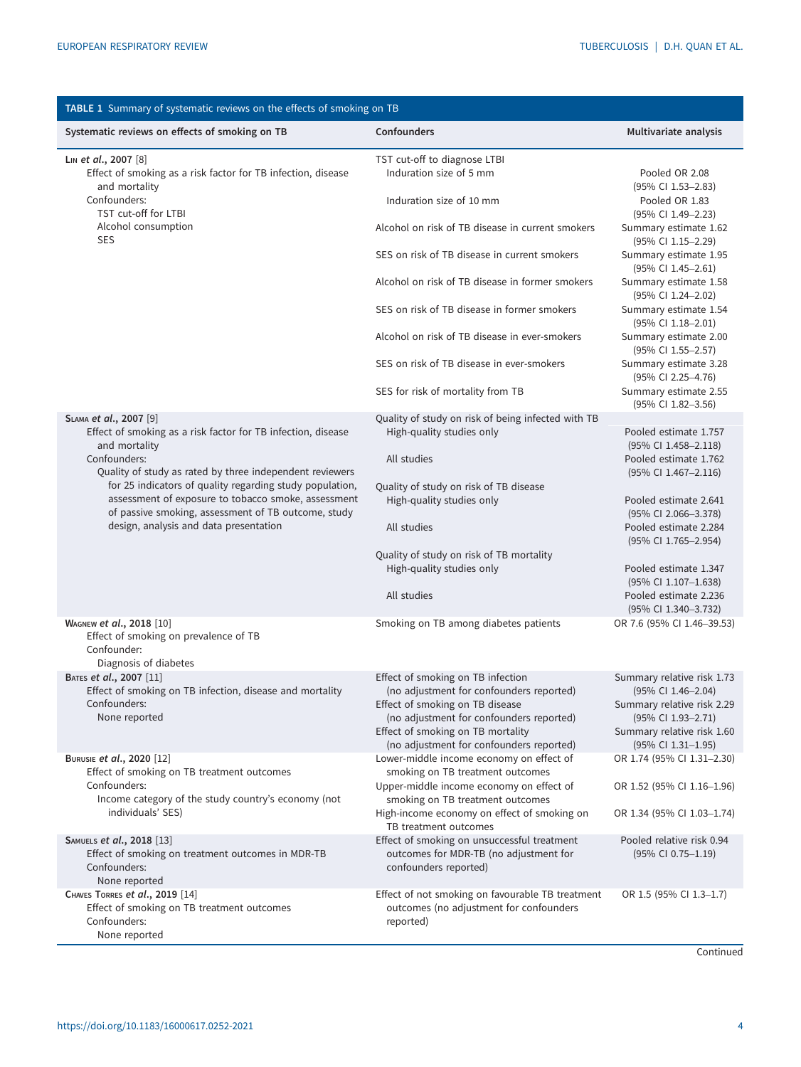<span id="page-3-0"></span>

| TABLE 1 Summary of systematic reviews on the effects of smoking on TB                                           |                                                                                                                         |                                                                        |  |  |  |
|-----------------------------------------------------------------------------------------------------------------|-------------------------------------------------------------------------------------------------------------------------|------------------------------------------------------------------------|--|--|--|
| Systematic reviews on effects of smoking on TB                                                                  | <b>Confounders</b>                                                                                                      | Multivariate analysis                                                  |  |  |  |
| LIN et al., 2007 [8]<br>Effect of smoking as a risk factor for TB infection, disease<br>and mortality           | TST cut-off to diagnose LTBI<br>Induration size of 5 mm                                                                 | Pooled OR 2.08<br>$(95\% \text{ CI } 1.53 - 2.83)$                     |  |  |  |
| Confounders:<br>TST cut-off for LTBI                                                                            | Induration size of 10 mm                                                                                                | Pooled OR 1.83<br>$(95\% \text{ CI } 1.49 - 2.23)$                     |  |  |  |
| Alcohol consumption<br><b>SES</b>                                                                               | Alcohol on risk of TB disease in current smokers                                                                        | Summary estimate 1.62<br>(95% CI 1.15-2.29)                            |  |  |  |
|                                                                                                                 | SES on risk of TB disease in current smokers                                                                            | Summary estimate 1.95<br>$(95\% \text{ CI } 1.45 - 2.61)$              |  |  |  |
|                                                                                                                 | Alcohol on risk of TB disease in former smokers                                                                         | Summary estimate 1.58<br>(95% CI 1.24-2.02)                            |  |  |  |
|                                                                                                                 | SES on risk of TB disease in former smokers                                                                             | Summary estimate 1.54<br>(95% CI 1.18-2.01)                            |  |  |  |
|                                                                                                                 | Alcohol on risk of TB disease in ever-smokers                                                                           | Summary estimate 2.00<br>$(95\% \text{ CI } 1.55 - 2.57)$              |  |  |  |
|                                                                                                                 | SES on risk of TB disease in ever-smokers<br>SES for risk of mortality from TB                                          | Summary estimate 3.28<br>(95% CI 2.25-4.76)<br>Summary estimate 2.55   |  |  |  |
|                                                                                                                 |                                                                                                                         | $(95\% \text{ CI } 1.82 - 3.56)$                                       |  |  |  |
| SLAMA et al., 2007 [9]<br>Effect of smoking as a risk factor for TB infection, disease                          | Quality of study on risk of being infected with TB<br>High-quality studies only                                         | Pooled estimate 1.757                                                  |  |  |  |
| and mortality                                                                                                   |                                                                                                                         | (95% CI 1.458-2.118)                                                   |  |  |  |
| Confounders:<br>Quality of study as rated by three independent reviewers                                        | All studies                                                                                                             | Pooled estimate 1.762<br>(95% CI 1.467-2.116)                          |  |  |  |
| for 25 indicators of quality regarding study population,<br>assessment of exposure to tobacco smoke, assessment | Quality of study on risk of TB disease<br>High-quality studies only                                                     | Pooled estimate 2.641                                                  |  |  |  |
| of passive smoking, assessment of TB outcome, study                                                             |                                                                                                                         | (95% CI 2.066-3.378)                                                   |  |  |  |
| design, analysis and data presentation                                                                          | All studies                                                                                                             | Pooled estimate 2.284<br>(95% CI 1.765-2.954)                          |  |  |  |
|                                                                                                                 | Quality of study on risk of TB mortality<br>High-quality studies only                                                   | Pooled estimate 1.347                                                  |  |  |  |
|                                                                                                                 |                                                                                                                         | (95% CI 1.107-1.638)                                                   |  |  |  |
|                                                                                                                 | All studies                                                                                                             | Pooled estimate 2.236<br>(95% CI 1.340-3.732)                          |  |  |  |
| WAGNEW et al., 2018 [10]<br>Effect of smoking on prevalence of TB<br>Confounder:<br>Diagnosis of diabetes       | Smoking on TB among diabetes patients                                                                                   | OR 7.6 (95% CI 1.46-39.53)                                             |  |  |  |
| BATES et al., 2007 [11]                                                                                         | Effect of smoking on TB infection                                                                                       | Summary relative risk 1.73                                             |  |  |  |
| Effect of smoking on TB infection, disease and mortality<br>Confounders:<br>None reported                       | (no adjustment for confounders reported)<br>Effect of smoking on TB disease<br>(no adjustment for confounders reported) | (95% CI 1.46-2.04)<br>Summary relative risk 2.29<br>(95% CI 1.93-2.71) |  |  |  |
|                                                                                                                 | Effect of smoking on TB mortality<br>(no adjustment for confounders reported)                                           | Summary relative risk 1.60<br>$(95\% \text{ CI } 1.31 - 1.95)$         |  |  |  |
| BURUSIE et al., 2020 [12]<br>Effect of smoking on TB treatment outcomes                                         | Lower-middle income economy on effect of<br>smoking on TB treatment outcomes                                            | OR 1.74 (95% CI 1.31-2.30)                                             |  |  |  |
| Confounders:<br>Income category of the study country's economy (not                                             | Upper-middle income economy on effect of<br>smoking on TB treatment outcomes                                            | OR 1.52 (95% CI 1.16-1.96)                                             |  |  |  |
| individuals' SES)                                                                                               | High-income economy on effect of smoking on<br>TB treatment outcomes                                                    | OR 1.34 (95% CI 1.03-1.74)                                             |  |  |  |
| SAMUELS et al., 2018 [13]<br>Effect of smoking on treatment outcomes in MDR-TB<br>Confounders:<br>None reported | Effect of smoking on unsuccessful treatment<br>outcomes for MDR-TB (no adjustment for<br>confounders reported)          | Pooled relative risk 0.94<br>$(95\% \text{ CI } 0.75 - 1.19)$          |  |  |  |
| CHAVES TORRES et al., 2019 [14]<br>Effect of smoking on TB treatment outcomes<br>Confounders:<br>None reported  | Effect of not smoking on favourable TB treatment<br>outcomes (no adjustment for confounders<br>reported)                | OR 1.5 (95% CI 1.3-1.7)                                                |  |  |  |

**Continued**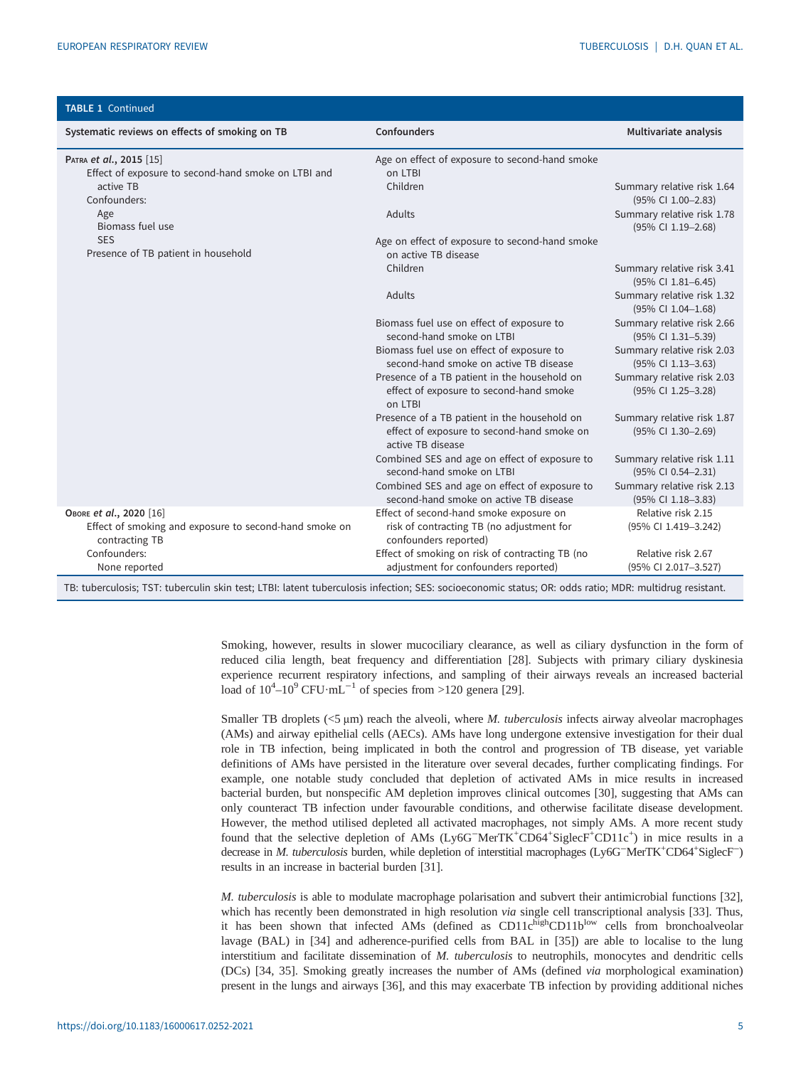| <b>TABLE 1 Continued</b>                                                                                                                                                                                                                                                                                |                                                                                                                                     |                                                  |
|---------------------------------------------------------------------------------------------------------------------------------------------------------------------------------------------------------------------------------------------------------------------------------------------------------|-------------------------------------------------------------------------------------------------------------------------------------|--------------------------------------------------|
| Systematic reviews on effects of smoking on TB                                                                                                                                                                                                                                                          | <b>Confounders</b>                                                                                                                  | Multivariate analysis                            |
| PATRA et al., 2015 [15]                                                                                                                                                                                                                                                                                 | Age on effect of exposure to second-hand smoke                                                                                      |                                                  |
| Effect of exposure to second-hand smoke on LTBI and                                                                                                                                                                                                                                                     | on LTBI                                                                                                                             |                                                  |
| active TB                                                                                                                                                                                                                                                                                               | Children                                                                                                                            | Summary relative risk 1.64                       |
| Confounders:                                                                                                                                                                                                                                                                                            |                                                                                                                                     | (95% CI 1.00-2.83)                               |
| Age<br>Biomass fuel use                                                                                                                                                                                                                                                                                 | Adults                                                                                                                              | Summary relative risk 1.78<br>(95% CI 1.19-2.68) |
| <b>SES</b>                                                                                                                                                                                                                                                                                              | Age on effect of exposure to second-hand smoke                                                                                      |                                                  |
| Presence of TB patient in household                                                                                                                                                                                                                                                                     | on active TB disease                                                                                                                |                                                  |
|                                                                                                                                                                                                                                                                                                         | Children                                                                                                                            | Summary relative risk 3.41<br>(95% CI 1.81-6.45) |
|                                                                                                                                                                                                                                                                                                         | Adults                                                                                                                              | Summary relative risk 1.32<br>(95% CI 1.04-1.68) |
|                                                                                                                                                                                                                                                                                                         | Biomass fuel use on effect of exposure to                                                                                           | Summary relative risk 2.66                       |
|                                                                                                                                                                                                                                                                                                         | second-hand smoke on LTBI                                                                                                           | (95% CI 1.31-5.39)                               |
|                                                                                                                                                                                                                                                                                                         | Biomass fuel use on effect of exposure to                                                                                           | Summary relative risk 2.03                       |
|                                                                                                                                                                                                                                                                                                         | second-hand smoke on active TB disease                                                                                              | (95% CI 1.13-3.63)                               |
|                                                                                                                                                                                                                                                                                                         | Presence of a TB patient in the household on<br>effect of exposure to second-hand smoke<br>on LTBI                                  | Summary relative risk 2.03<br>(95% CI 1.25-3.28) |
|                                                                                                                                                                                                                                                                                                         | Presence of a TB patient in the household on<br>effect of exposure to second-hand smoke on<br>active TB disease                     | Summary relative risk 1.87<br>(95% CI 1.30-2.69) |
|                                                                                                                                                                                                                                                                                                         | Combined SES and age on effect of exposure to<br>second-hand smoke on LTBI                                                          | Summary relative risk 1.11<br>(95% CI 0.54-2.31) |
|                                                                                                                                                                                                                                                                                                         | Combined SES and age on effect of exposure to                                                                                       | Summary relative risk 2.13                       |
|                                                                                                                                                                                                                                                                                                         | second-hand smoke on active TB disease                                                                                              | (95% CI 1.18-3.83)                               |
| OBORE et al., 2020 [16]                                                                                                                                                                                                                                                                                 | Effect of second-hand smoke exposure on                                                                                             | Relative risk 2.15                               |
| Effect of smoking and exposure to second-hand smoke on<br>contracting TB                                                                                                                                                                                                                                | risk of contracting TB (no adjustment for<br>confounders reported)                                                                  | (95% CI 1.419-3.242)                             |
| Confounders:                                                                                                                                                                                                                                                                                            | Effect of smoking on risk of contracting TB (no                                                                                     | Relative risk 2.67                               |
| None reported                                                                                                                                                                                                                                                                                           | adjustment for confounders reported)                                                                                                | (95% CI 2.017-3.527)                             |
| $\mathbf{1}$ , the set of $\mathbf{1}$ , $\mathbf{1}$ , $\mathbf{1}$ , $\mathbf{1}$ , $\mathbf{1}$ , $\mathbf{1}$ , $\mathbf{1}$ , $\mathbf{1}$ , $\mathbf{1}$ , $\mathbf{1}$ , $\mathbf{1}$ , $\mathbf{1}$ , $\mathbf{1}$ , $\mathbf{1}$ , $\mathbf{1}$ , $\mathbf{1}$ , $\mathbf{1}$ , $\mathbf{1}$ , | $\mathbf{r}$ and $\mathbf{r}$ and $\mathbf{r}$ and $\mathbf{r}$ and $\mathbf{r}$ and $\mathbf{r}$ and $\mathbf{r}$ and $\mathbf{r}$ |                                                  |

TB: tuberculosis; TST: tuberculin skin test; LTBI: latent tuberculosis infection; SES: socioeconomic status; OR: odds ratio; MDR: multidrug resistant.

Smoking, however, results in slower mucociliary clearance, as well as ciliary dysfunction in the form of reduced cilia length, beat frequency and differentiation [\[28](#page-13-0)]. Subjects with primary ciliary dyskinesia experience recurrent respiratory infections, and sampling of their airways reveals an increased bacterial load of  $10^4$ – $10^9$  CFU·mL<sup>–1</sup> of species from >120 genera [\[29](#page-13-0)].

Smaller TB droplets (<5 μm) reach the alveoli, where M. tuberculosis infects airway alveolar macrophages (AMs) and airway epithelial cells (AECs). AMs have long undergone extensive investigation for their dual role in TB infection, being implicated in both the control and progression of TB disease, yet variable definitions of AMs have persisted in the literature over several decades, further complicating findings. For example, one notable study concluded that depletion of activated AMs in mice results in increased bacterial burden, but nonspecific AM depletion improves clinical outcomes [\[30](#page-13-0)], suggesting that AMs can only counteract TB infection under favourable conditions, and otherwise facilitate disease development. However, the method utilised depleted all activated macrophages, not simply AMs. A more recent study found that the selective depletion of AMs (Ly6G<sup>-</sup>MerTK<sup>+</sup>CD64<sup>+</sup>SiglecF<sup>+</sup>CD11c<sup>+</sup>) in mice results in a decrease in *M. tuberculosis* burden, while depletion of interstitial macrophages (Ly6G<sup>-</sup>MerTK<sup>+</sup>CD64<sup>+</sup>SiglecF<sup>-</sup>) results in an increase in bacterial burden [\[31](#page-13-0)].

M. tuberculosis is able to modulate macrophage polarisation and subvert their antimicrobial functions [[32\]](#page-13-0), which has recently been demonstrated in high resolution *via* single cell transcriptional analysis [\[33](#page-13-0)]. Thus, it has been shown that infected AMs (defined as  $CD11c^{\text{high}}CD11b^{\text{low}}$  cells from bronchoalveolar lavage (BAL) in [[34\]](#page-14-0) and adherence-purified cells from BAL in [[35\]](#page-14-0)) are able to localise to the lung interstitium and facilitate dissemination of M. tuberculosis to neutrophils, monocytes and dendritic cells (DCs) [[34, 35\]](#page-14-0). Smoking greatly increases the number of AMs (defined via morphological examination) present in the lungs and airways [\[36](#page-14-0)], and this may exacerbate TB infection by providing additional niches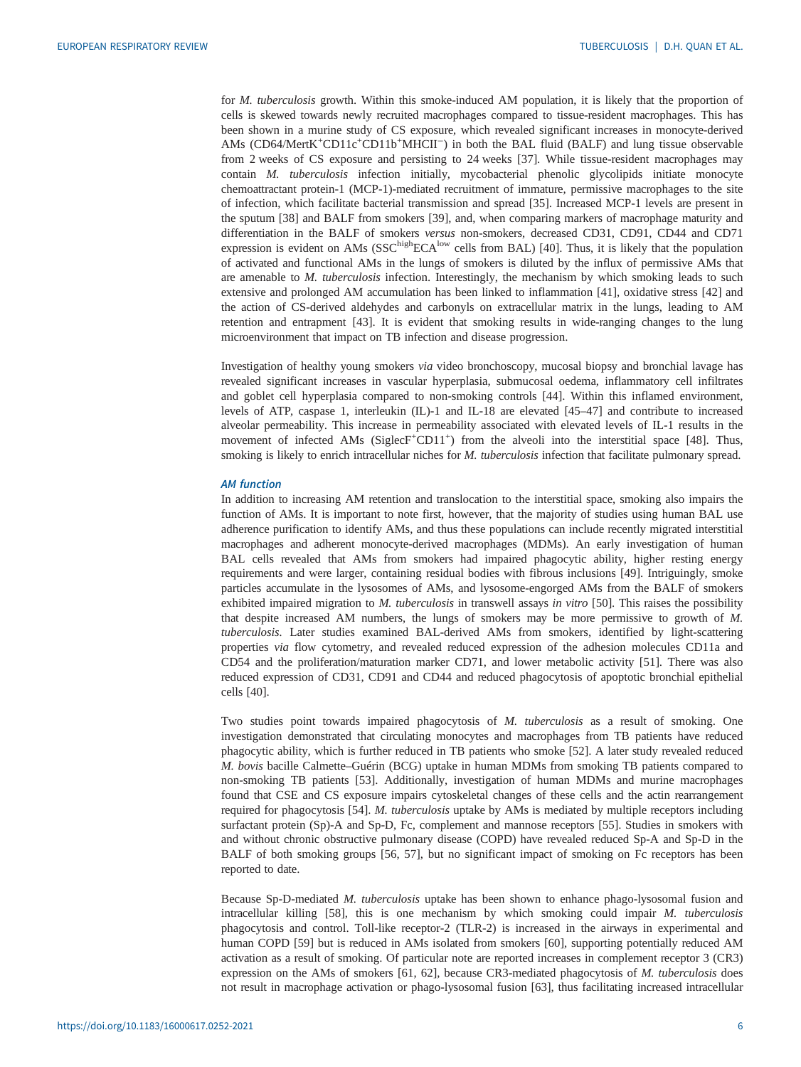for M. tuberculosis growth. Within this smoke-induced AM population, it is likely that the proportion of cells is skewed towards newly recruited macrophages compared to tissue-resident macrophages. This has been shown in a murine study of CS exposure, which revealed significant increases in monocyte-derived AMs (CD64/MertK<sup>+</sup>CD11c<sup>+</sup>CD11b<sup>+</sup>MHCII<sup>-</sup>) in both the BAL fluid (BALF) and lung tissue observable from 2 weeks of CS exposure and persisting to 24 weeks [[37\]](#page-14-0). While tissue-resident macrophages may contain M. tuberculosis infection initially, mycobacterial phenolic glycolipids initiate monocyte chemoattractant protein-1 (MCP-1)-mediated recruitment of immature, permissive macrophages to the site of infection, which facilitate bacterial transmission and spread [[35](#page-14-0)]. Increased MCP-1 levels are present in the sputum [\[38](#page-14-0)] and BALF from smokers [[39\]](#page-14-0), and, when comparing markers of macrophage maturity and differentiation in the BALF of smokers versus non-smokers, decreased CD31, CD91, CD44 and CD71 expression is evident on AMs (SSC<sup>high</sup>ECA<sup>low</sup> cells from BAL) [\[40](#page-14-0)]. Thus, it is likely that the population of activated and functional AMs in the lungs of smokers is diluted by the influx of permissive AMs that are amenable to *M. tuberculosis* infection. Interestingly, the mechanism by which smoking leads to such extensive and prolonged AM accumulation has been linked to inflammation [[41\]](#page-14-0), oxidative stress [[42\]](#page-14-0) and the action of CS-derived aldehydes and carbonyls on extracellular matrix in the lungs, leading to AM retention and entrapment [\[43](#page-14-0)]. It is evident that smoking results in wide-ranging changes to the lung microenvironment that impact on TB infection and disease progression.

Investigation of healthy young smokers via video bronchoscopy, mucosal biopsy and bronchial lavage has revealed significant increases in vascular hyperplasia, submucosal oedema, inflammatory cell infiltrates and goblet cell hyperplasia compared to non-smoking controls [\[44](#page-14-0)]. Within this inflamed environment, levels of ATP, caspase 1, interleukin (IL)-1 and IL-18 are elevated [[45](#page-14-0)–[47](#page-14-0)] and contribute to increased alveolar permeability. This increase in permeability associated with elevated levels of IL-1 results in the movement of infected AMs (SiglecF<sup>+</sup>CD11<sup>+</sup>) from the alveoli into the interstitial space [\[48](#page-14-0)]. Thus, smoking is likely to enrich intracellular niches for M. tuberculosis infection that facilitate pulmonary spread.

# AM function

In addition to increasing AM retention and translocation to the interstitial space, smoking also impairs the function of AMs. It is important to note first, however, that the majority of studies using human BAL use adherence purification to identify AMs, and thus these populations can include recently migrated interstitial macrophages and adherent monocyte-derived macrophages (MDMs). An early investigation of human BAL cells revealed that AMs from smokers had impaired phagocytic ability, higher resting energy requirements and were larger, containing residual bodies with fibrous inclusions [\[49](#page-14-0)]. Intriguingly, smoke particles accumulate in the lysosomes of AMs, and lysosome-engorged AMs from the BALF of smokers exhibited impaired migration to M. tuberculosis in transwell assays in vitro [\[50](#page-14-0)]. This raises the possibility that despite increased AM numbers, the lungs of smokers may be more permissive to growth of M. tuberculosis. Later studies examined BAL-derived AMs from smokers, identified by light-scattering properties via flow cytometry, and revealed reduced expression of the adhesion molecules CD11a and CD54 and the proliferation/maturation marker CD71, and lower metabolic activity [[51\]](#page-14-0). There was also reduced expression of CD31, CD91 and CD44 and reduced phagocytosis of apoptotic bronchial epithelial cells [\[40](#page-14-0)].

Two studies point towards impaired phagocytosis of M. tuberculosis as a result of smoking. One investigation demonstrated that circulating monocytes and macrophages from TB patients have reduced phagocytic ability, which is further reduced in TB patients who smoke [[52\]](#page-14-0). A later study revealed reduced M. bovis bacille Calmette–Guérin (BCG) uptake in human MDMs from smoking TB patients compared to non-smoking TB patients [\[53](#page-14-0)]. Additionally, investigation of human MDMs and murine macrophages found that CSE and CS exposure impairs cytoskeletal changes of these cells and the actin rearrangement required for phagocytosis [[54\]](#page-14-0). M. tuberculosis uptake by AMs is mediated by multiple receptors including surfactant protein (Sp)-A and Sp-D, Fc, complement and mannose receptors [\[55](#page-14-0)]. Studies in smokers with and without chronic obstructive pulmonary disease (COPD) have revealed reduced Sp-A and Sp-D in the BALF of both smoking groups [\[56](#page-14-0), [57\]](#page-14-0), but no significant impact of smoking on Fc receptors has been reported to date.

Because Sp-D-mediated M. tuberculosis uptake has been shown to enhance phago-lysosomal fusion and intracellular killing [[58\]](#page-14-0), this is one mechanism by which smoking could impair M. tuberculosis phagocytosis and control. Toll-like receptor-2 (TLR-2) is increased in the airways in experimental and human COPD [\[59\]](#page-14-0) but is reduced in AMs isolated from smokers [[60\]](#page-14-0), supporting potentially reduced AM activation as a result of smoking. Of particular note are reported increases in complement receptor 3 (CR3) expression on the AMs of smokers [[61, 62](#page-15-0)], because CR3-mediated phagocytosis of M. tuberculosis does not result in macrophage activation or phago-lysosomal fusion [[63\]](#page-15-0), thus facilitating increased intracellular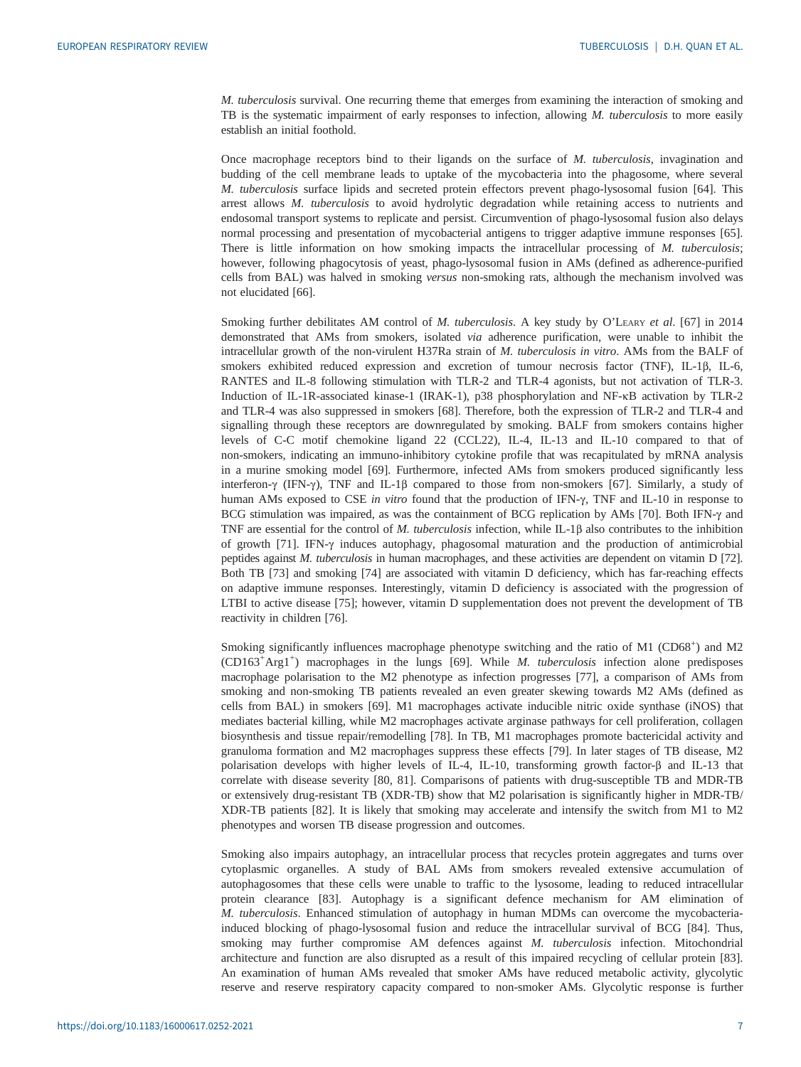M. tuberculosis survival. One recurring theme that emerges from examining the interaction of smoking and TB is the systematic impairment of early responses to infection, allowing M. tuberculosis to more easily establish an initial foothold.

Once macrophage receptors bind to their ligands on the surface of M. tuberculosis, invagination and budding of the cell membrane leads to uptake of the mycobacteria into the phagosome, where several M. tuberculosis surface lipids and secreted protein effectors prevent phago-lysosomal fusion [[64\]](#page-15-0). This arrest allows M. tuberculosis to avoid hydrolytic degradation while retaining access to nutrients and endosomal transport systems to replicate and persist. Circumvention of phago-lysosomal fusion also delays normal processing and presentation of mycobacterial antigens to trigger adaptive immune responses [[65\]](#page-15-0). There is little information on how smoking impacts the intracellular processing of M. tuberculosis; however, following phagocytosis of yeast, phago-lysosomal fusion in AMs (defined as adherence-purified cells from BAL) was halved in smoking versus non-smoking rats, although the mechanism involved was not elucidated [[66\]](#page-15-0).

Smoking further debilitates AM control of M. tuberculosis. A key study by O'LEARY et al. [[67\]](#page-15-0) in 2014 demonstrated that AMs from smokers, isolated via adherence purification, were unable to inhibit the intracellular growth of the non-virulent H37Ra strain of M. tuberculosis in vitro. AMs from the BALF of smokers exhibited reduced expression and excretion of tumour necrosis factor (TNF), IL-1β, IL-6, RANTES and IL-8 following stimulation with TLR-2 and TLR-4 agonists, but not activation of TLR-3. Induction of IL-1R-associated kinase-1 (IRAK-1), p38 phosphorylation and NF-κB activation by TLR-2 and TLR-4 was also suppressed in smokers [[68\]](#page-15-0). Therefore, both the expression of TLR-2 and TLR-4 and signalling through these receptors are downregulated by smoking. BALF from smokers contains higher levels of C-C motif chemokine ligand 22 (CCL22), IL-4, IL-13 and IL-10 compared to that of non-smokers, indicating an immuno-inhibitory cytokine profile that was recapitulated by mRNA analysis in a murine smoking model [[69\]](#page-15-0). Furthermore, infected AMs from smokers produced significantly less interferon-γ (IFN-γ), TNF and IL-1β compared to those from non-smokers [[67\]](#page-15-0). Similarly, a study of human AMs exposed to CSE in vitro found that the production of IFN-γ, TNF and IL-10 in response to BCG stimulation was impaired, as was the containment of BCG replication by AMs [[70\]](#page-15-0). Both IFN-γ and TNF are essential for the control of M. tuberculosis infection, while IL-1β also contributes to the inhibition of growth [[71\]](#page-15-0). IFN-γ induces autophagy, phagosomal maturation and the production of antimicrobial peptides against M. tuberculosis in human macrophages, and these activities are dependent on vitamin D [\[72\]](#page-15-0). Both TB [[73](#page-15-0)] and smoking [[74\]](#page-15-0) are associated with vitamin D deficiency, which has far-reaching effects on adaptive immune responses. Interestingly, vitamin D deficiency is associated with the progression of LTBI to active disease [[75\]](#page-15-0); however, vitamin D supplementation does not prevent the development of TB reactivity in children [\[76](#page-15-0)].

Smoking significantly influences macrophage phenotype switching and the ratio of M1 (CD68<sup>+</sup>) and M2 (CD163<sup>+</sup>Arg1<sup>+</sup>) macrophages in the lungs [\[69](#page-15-0)]. While M. tuberculosis infection alone predisposes macrophage polarisation to the M2 phenotype as infection progresses [\[77](#page-15-0)], a comparison of AMs from smoking and non-smoking TB patients revealed an even greater skewing towards M2 AMs (defined as cells from BAL) in smokers [[69\]](#page-15-0). M1 macrophages activate inducible nitric oxide synthase (iNOS) that mediates bacterial killing, while M2 macrophages activate arginase pathways for cell proliferation, collagen biosynthesis and tissue repair/remodelling [[78\]](#page-15-0). In TB, M1 macrophages promote bactericidal activity and granuloma formation and M2 macrophages suppress these effects [\[79](#page-15-0)]. In later stages of TB disease, M2 polarisation develops with higher levels of IL-4, IL-10, transforming growth factor-β and IL-13 that correlate with disease severity [[80, 81\]](#page-15-0). Comparisons of patients with drug-susceptible TB and MDR-TB or extensively drug-resistant TB (XDR-TB) show that M2 polarisation is significantly higher in MDR-TB/ XDR-TB patients [\[82](#page-15-0)]. It is likely that smoking may accelerate and intensify the switch from M1 to M2 phenotypes and worsen TB disease progression and outcomes.

Smoking also impairs autophagy, an intracellular process that recycles protein aggregates and turns over cytoplasmic organelles. A study of BAL AMs from smokers revealed extensive accumulation of autophagosomes that these cells were unable to traffic to the lysosome, leading to reduced intracellular protein clearance [[83\]](#page-15-0). Autophagy is a significant defence mechanism for AM elimination of M. tuberculosis. Enhanced stimulation of autophagy in human MDMs can overcome the mycobacteriainduced blocking of phago-lysosomal fusion and reduce the intracellular survival of BCG [\[84](#page-15-0)]. Thus, smoking may further compromise AM defences against M. tuberculosis infection. Mitochondrial architecture and function are also disrupted as a result of this impaired recycling of cellular protein [[83\]](#page-15-0). An examination of human AMs revealed that smoker AMs have reduced metabolic activity, glycolytic reserve and reserve respiratory capacity compared to non-smoker AMs. Glycolytic response is further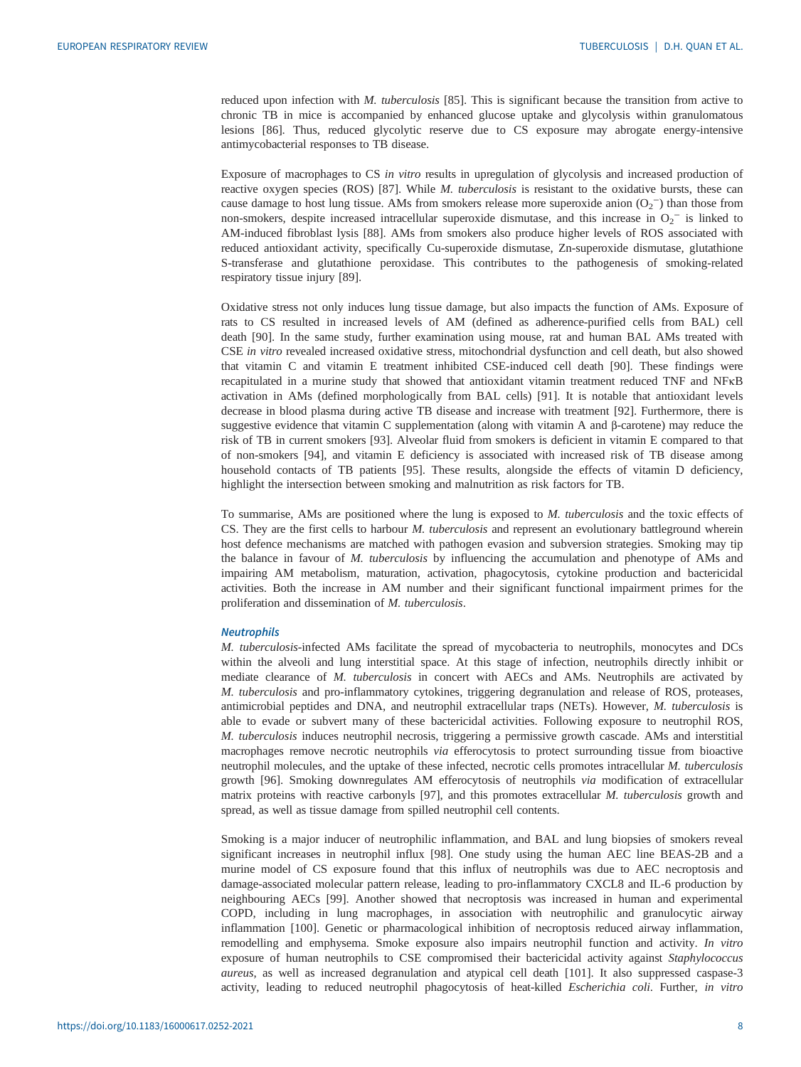reduced upon infection with M. tuberculosis [\[85](#page-15-0)]. This is significant because the transition from active to chronic TB in mice is accompanied by enhanced glucose uptake and glycolysis within granulomatous lesions [[86](#page-15-0)]. Thus, reduced glycolytic reserve due to CS exposure may abrogate energy-intensive antimycobacterial responses to TB disease.

Exposure of macrophages to CS in vitro results in upregulation of glycolysis and increased production of reactive oxygen species (ROS) [\[87](#page-15-0)]. While M. tuberculosis is resistant to the oxidative bursts, these can cause damage to host lung tissue. AMs from smokers release more superoxide anion  $(O_2^-)$  than those from non-smokers, despite increased intracellular superoxide dismutase, and this increase in  $O_2^-$  is linked to AM-induced fibroblast lysis [\[88](#page-15-0)]. AMs from smokers also produce higher levels of ROS associated with reduced antioxidant activity, specifically Cu-superoxide dismutase, Zn-superoxide dismutase, glutathione S-transferase and glutathione peroxidase. This contributes to the pathogenesis of smoking-related respiratory tissue injury [[89\]](#page-16-0).

Oxidative stress not only induces lung tissue damage, but also impacts the function of AMs. Exposure of rats to CS resulted in increased levels of AM (defined as adherence-purified cells from BAL) cell death [\[90](#page-16-0)]. In the same study, further examination using mouse, rat and human BAL AMs treated with CSE in vitro revealed increased oxidative stress, mitochondrial dysfunction and cell death, but also showed that vitamin C and vitamin E treatment inhibited CSE-induced cell death [[90\]](#page-16-0). These findings were recapitulated in a murine study that showed that antioxidant vitamin treatment reduced TNF and NFκB activation in AMs (defined morphologically from BAL cells) [[91\]](#page-16-0). It is notable that antioxidant levels decrease in blood plasma during active TB disease and increase with treatment [[92\]](#page-16-0). Furthermore, there is suggestive evidence that vitamin C supplementation (along with vitamin A and β-carotene) may reduce the risk of TB in current smokers [\[93](#page-16-0)]. Alveolar fluid from smokers is deficient in vitamin E compared to that of non-smokers [[94\]](#page-16-0), and vitamin E deficiency is associated with increased risk of TB disease among household contacts of TB patients [\[95](#page-16-0)]. These results, alongside the effects of vitamin D deficiency, highlight the intersection between smoking and malnutrition as risk factors for TB.

To summarise, AMs are positioned where the lung is exposed to M. tuberculosis and the toxic effects of CS. They are the first cells to harbour M. tuberculosis and represent an evolutionary battleground wherein host defence mechanisms are matched with pathogen evasion and subversion strategies. Smoking may tip the balance in favour of M. tuberculosis by influencing the accumulation and phenotype of AMs and impairing AM metabolism, maturation, activation, phagocytosis, cytokine production and bactericidal activities. Both the increase in AM number and their significant functional impairment primes for the proliferation and dissemination of M. tuberculosis.

#### **Neutrophils**

M. tuberculosis-infected AMs facilitate the spread of mycobacteria to neutrophils, monocytes and DCs within the alveoli and lung interstitial space. At this stage of infection, neutrophils directly inhibit or mediate clearance of M. tuberculosis in concert with AECs and AMs. Neutrophils are activated by M. tuberculosis and pro-inflammatory cytokines, triggering degranulation and release of ROS, proteases, antimicrobial peptides and DNA, and neutrophil extracellular traps (NETs). However, M. tuberculosis is able to evade or subvert many of these bactericidal activities. Following exposure to neutrophil ROS, M. tuberculosis induces neutrophil necrosis, triggering a permissive growth cascade. AMs and interstitial macrophages remove necrotic neutrophils via efferocytosis to protect surrounding tissue from bioactive neutrophil molecules, and the uptake of these infected, necrotic cells promotes intracellular M. tuberculosis growth [[96\]](#page-16-0). Smoking downregulates AM efferocytosis of neutrophils via modification of extracellular matrix proteins with reactive carbonyls [\[97](#page-16-0)], and this promotes extracellular M. tuberculosis growth and spread, as well as tissue damage from spilled neutrophil cell contents.

Smoking is a major inducer of neutrophilic inflammation, and BAL and lung biopsies of smokers reveal significant increases in neutrophil influx [\[98](#page-16-0)]. One study using the human AEC line BEAS-2B and a murine model of CS exposure found that this influx of neutrophils was due to AEC necroptosis and damage-associated molecular pattern release, leading to pro-inflammatory CXCL8 and IL-6 production by neighbouring AECs [[99\]](#page-16-0). Another showed that necroptosis was increased in human and experimental COPD, including in lung macrophages, in association with neutrophilic and granulocytic airway inflammation [\[100\]](#page-16-0). Genetic or pharmacological inhibition of necroptosis reduced airway inflammation, remodelling and emphysema. Smoke exposure also impairs neutrophil function and activity. In vitro exposure of human neutrophils to CSE compromised their bactericidal activity against Staphylococcus aureus, as well as increased degranulation and atypical cell death [\[101\]](#page-16-0). It also suppressed caspase-3 activity, leading to reduced neutrophil phagocytosis of heat-killed Escherichia coli. Further, in vitro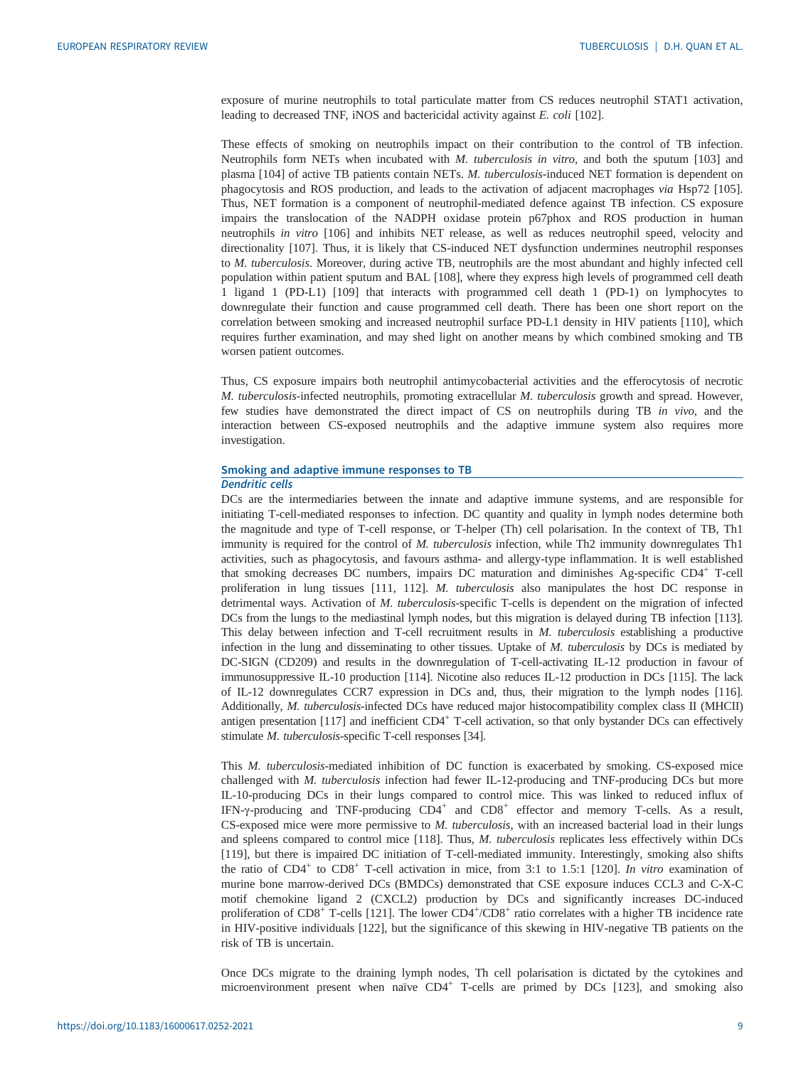exposure of murine neutrophils to total particulate matter from CS reduces neutrophil STAT1 activation, leading to decreased TNF, iNOS and bactericidal activity against E. coli [[102](#page-16-0)].

These effects of smoking on neutrophils impact on their contribution to the control of TB infection. Neutrophils form NETs when incubated with M. tuberculosis in vitro, and both the sputum [\[103\]](#page-16-0) and plasma [\[104\]](#page-16-0) of active TB patients contain NETs. M. tuberculosis-induced NET formation is dependent on phagocytosis and ROS production, and leads to the activation of adjacent macrophages via Hsp72 [\[105\]](#page-16-0). Thus, NET formation is a component of neutrophil-mediated defence against TB infection. CS exposure impairs the translocation of the NADPH oxidase protein p67phox and ROS production in human neutrophils in vitro [[106](#page-16-0)] and inhibits NET release, as well as reduces neutrophil speed, velocity and directionality [[107](#page-16-0)]. Thus, it is likely that CS-induced NET dysfunction undermines neutrophil responses to M. tuberculosis. Moreover, during active TB, neutrophils are the most abundant and highly infected cell population within patient sputum and BAL [[108](#page-16-0)], where they express high levels of programmed cell death 1 ligand 1 (PD-L1) [[109](#page-16-0)] that interacts with programmed cell death 1 (PD-1) on lymphocytes to downregulate their function and cause programmed cell death. There has been one short report on the correlation between smoking and increased neutrophil surface PD-L1 density in HIV patients [\[110\]](#page-16-0), which requires further examination, and may shed light on another means by which combined smoking and TB worsen patient outcomes.

Thus, CS exposure impairs both neutrophil antimycobacterial activities and the efferocytosis of necrotic M. tuberculosis-infected neutrophils, promoting extracellular M. tuberculosis growth and spread. However, few studies have demonstrated the direct impact of CS on neutrophils during TB in vivo, and the interaction between CS-exposed neutrophils and the adaptive immune system also requires more investigation.

# Smoking and adaptive immune responses to TB Dendritic cells

DCs are the intermediaries between the innate and adaptive immune systems, and are responsible for initiating T-cell-mediated responses to infection. DC quantity and quality in lymph nodes determine both the magnitude and type of T-cell response, or T-helper (Th) cell polarisation. In the context of TB, Th1 immunity is required for the control of M. tuberculosis infection, while Th2 immunity downregulates Th1 activities, such as phagocytosis, and favours asthma- and allergy-type inflammation. It is well established that smoking decreases DC numbers, impairs DC maturation and diminishes Ag-specific CD4<sup>+</sup> T-cell proliferation in lung tissues [\[111, 112\]](#page-16-0). M. tuberculosis also manipulates the host DC response in detrimental ways. Activation of M. tuberculosis-specific T-cells is dependent on the migration of infected DCs from the lungs to the mediastinal lymph nodes, but this migration is delayed during TB infection [[113\]](#page-16-0). This delay between infection and T-cell recruitment results in M. tuberculosis establishing a productive infection in the lung and disseminating to other tissues. Uptake of  $M$ . tuberculosis by DCs is mediated by DC-SIGN (CD209) and results in the downregulation of T-cell-activating IL-12 production in favour of immunosuppressive IL-10 production [[114\]](#page-16-0). Nicotine also reduces IL-12 production in DCs [\[115](#page-16-0)]. The lack of IL-12 downregulates CCR7 expression in DCs and, thus, their migration to the lymph nodes [\[116\]](#page-16-0). Additionally, M. tuberculosis-infected DCs have reduced major histocompatibility complex class II (MHCII) antigen presentation  $[117]$  $[117]$  and inefficient  $CD4^+$  T-cell activation, so that only bystander DCs can effectively stimulate M. tuberculosis-specific T-cell responses [[34\]](#page-14-0).

This M. tuberculosis-mediated inhibition of DC function is exacerbated by smoking. CS-exposed mice challenged with M. tuberculosis infection had fewer IL-12-producing and TNF-producing DCs but more IL-10-producing DCs in their lungs compared to control mice. This was linked to reduced influx of IFN-y-producing and TNF-producing CD4<sup>+</sup> and CD8<sup>+</sup> effector and memory T-cells. As a result,  $CS$ -exposed mice were more permissive to  $M$ . tuberculosis, with an increased bacterial load in their lungs and spleens compared to control mice [[118](#page-17-0)]. Thus, M. tuberculosis replicates less effectively within DCs [\[119\]](#page-17-0), but there is impaired DC initiation of T-cell-mediated immunity. Interestingly, smoking also shifts the ratio of CD4<sup>+</sup> to CD8<sup>+</sup> T-cell activation in mice, from 3:1 to 1.5:1 [[120](#page-17-0)]. In vitro examination of murine bone marrow-derived DCs (BMDCs) demonstrated that CSE exposure induces CCL3 and C-X-C motif chemokine ligand 2 (CXCL2) production by DCs and significantly increases DC-induced proliferation of CD8<sup>+</sup> T-cells [\[121\]](#page-17-0). The lower CD4<sup>+</sup>/CD8<sup>+</sup> ratio correlates with a higher TB incidence rate in HIV-positive individuals [[122](#page-17-0)], but the significance of this skewing in HIV-negative TB patients on the risk of TB is uncertain.

Once DCs migrate to the draining lymph nodes, Th cell polarisation is dictated by the cytokines and microenvironment present when naïve  $CD4^+$  T-cells are primed by DCs [\[123\]](#page-17-0), and smoking also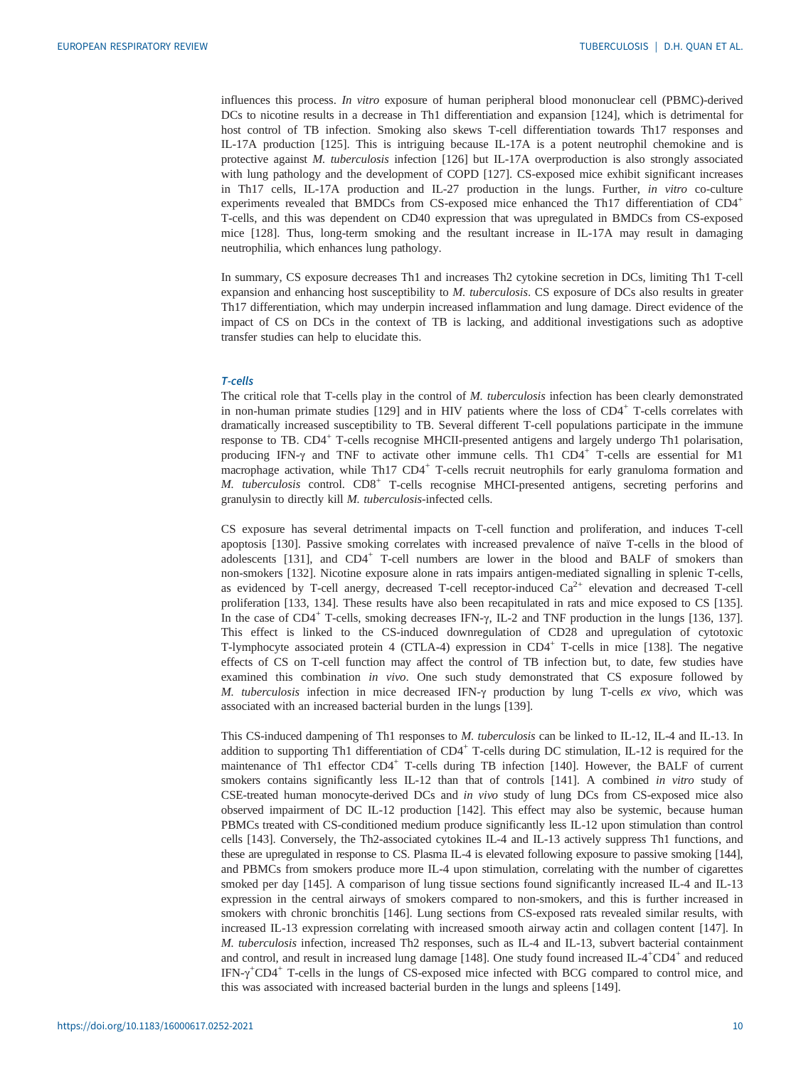influences this process. In vitro exposure of human peripheral blood mononuclear cell (PBMC)-derived DCs to nicotine results in a decrease in Th1 differentiation and expansion [[124](#page-17-0)], which is detrimental for host control of TB infection. Smoking also skews T-cell differentiation towards Th17 responses and IL-17A production [[125](#page-17-0)]. This is intriguing because IL-17A is a potent neutrophil chemokine and is protective against M. tuberculosis infection [[126](#page-17-0)] but IL-17A overproduction is also strongly associated with lung pathology and the development of COPD [[127](#page-17-0)]. CS-exposed mice exhibit significant increases in Th17 cells, IL-17A production and IL-27 production in the lungs. Further, in vitro co-culture experiments revealed that BMDCs from CS-exposed mice enhanced the Th17 differentiation of CD4<sup>+</sup> T-cells, and this was dependent on CD40 expression that was upregulated in BMDCs from CS-exposed mice [[128](#page-17-0)]. Thus, long-term smoking and the resultant increase in IL-17A may result in damaging neutrophilia, which enhances lung pathology.

In summary, CS exposure decreases Th1 and increases Th2 cytokine secretion in DCs, limiting Th1 T-cell expansion and enhancing host susceptibility to *M. tuberculosis*. CS exposure of DCs also results in greater Th17 differentiation, which may underpin increased inflammation and lung damage. Direct evidence of the impact of CS on DCs in the context of TB is lacking, and additional investigations such as adoptive transfer studies can help to elucidate this.

#### T-cells

The critical role that T-cells play in the control of M. tuberculosis infection has been clearly demonstrated in non-human primate studies  $[129]$  $[129]$  $[129]$  and in HIV patients where the loss of  $CD4^+$  T-cells correlates with dramatically increased susceptibility to TB. Several different T-cell populations participate in the immune response to TB. CD4<sup>+</sup> T-cells recognise MHCII-presented antigens and largely undergo Th1 polarisation, producing IFN- $\gamma$  and TNF to activate other immune cells. Th1 CD4<sup>+</sup> T-cells are essential for M1 macrophage activation, while Th17 CD4<sup>+</sup> T-cells recruit neutrophils for early granuloma formation and M. tuberculosis control. CD8<sup>+</sup> T-cells recognise MHCI-presented antigens, secreting perforins and granulysin to directly kill M. tuberculosis-infected cells.

CS exposure has several detrimental impacts on T-cell function and proliferation, and induces T-cell apoptosis [\[130\]](#page-17-0). Passive smoking correlates with increased prevalence of naïve T-cells in the blood of adolescents [\[131\]](#page-17-0), and CD4<sup>+</sup> T-cell numbers are lower in the blood and BALF of smokers than non-smokers [\[132\]](#page-17-0). Nicotine exposure alone in rats impairs antigen-mediated signalling in splenic T-cells, as evidenced by T-cell anergy, decreased T-cell receptor-induced  $Ca<sup>2+</sup>$  elevation and decreased T-cell proliferation [\[133, 134\]](#page-17-0). These results have also been recapitulated in rats and mice exposed to CS [\[135\]](#page-17-0). In the case of CD4<sup>+</sup> T-cells, smoking decreases IFN-γ, IL-2 and TNF production in the lungs [\[136, 137\]](#page-17-0). This effect is linked to the CS-induced downregulation of CD28 and upregulation of cytotoxic T-lymphocyte associated protein 4 (CTLA-4) expression in  $CD4<sup>+</sup>$  T-cells in mice [[138](#page-17-0)]. The negative effects of CS on T-cell function may affect the control of TB infection but, to date, few studies have examined this combination in vivo. One such study demonstrated that CS exposure followed by M. tuberculosis infection in mice decreased IFN-γ production by lung T-cells ex vivo, which was associated with an increased bacterial burden in the lungs [[139](#page-17-0)].

This CS-induced dampening of Th1 responses to M. tuberculosis can be linked to IL-12, IL-4 and IL-13. In addition to supporting Th1 differentiation of  $CD4^+$  T-cells during DC stimulation, IL-12 is required for the maintenance of Th1 effector CD4<sup>+</sup> T-cells during TB infection [\[140\]](#page-17-0). However, the BALF of current smokers contains significantly less IL-12 than that of controls [[141](#page-17-0)]. A combined in vitro study of CSE-treated human monocyte-derived DCs and in vivo study of lung DCs from CS-exposed mice also observed impairment of DC IL-12 production [[142](#page-17-0)]. This effect may also be systemic, because human PBMCs treated with CS-conditioned medium produce significantly less IL-12 upon stimulation than control cells [[143](#page-17-0)]. Conversely, the Th2-associated cytokines IL-4 and IL-13 actively suppress Th1 functions, and these are upregulated in response to CS. Plasma IL-4 is elevated following exposure to passive smoking [[144\]](#page-17-0), and PBMCs from smokers produce more IL-4 upon stimulation, correlating with the number of cigarettes smoked per day [[145](#page-17-0)]. A comparison of lung tissue sections found significantly increased IL-4 and IL-13 expression in the central airways of smokers compared to non-smokers, and this is further increased in smokers with chronic bronchitis [\[146\]](#page-18-0). Lung sections from CS-exposed rats revealed similar results, with increased IL-13 expression correlating with increased smooth airway actin and collagen content [\[147\]](#page-18-0). In M. tuberculosis infection, increased Th2 responses, such as IL-4 and IL-13, subvert bacterial containment and control, and result in increased lung damage [[148](#page-18-0)]. One study found increased IL-4<sup>+</sup>CD4<sup>+</sup> and reduced IFN-γ<sup>+</sup>CD4<sup>+</sup> T-cells in the lungs of CS-exposed mice infected with BCG compared to control mice, and this was associated with increased bacterial burden in the lungs and spleens [\[149\]](#page-18-0).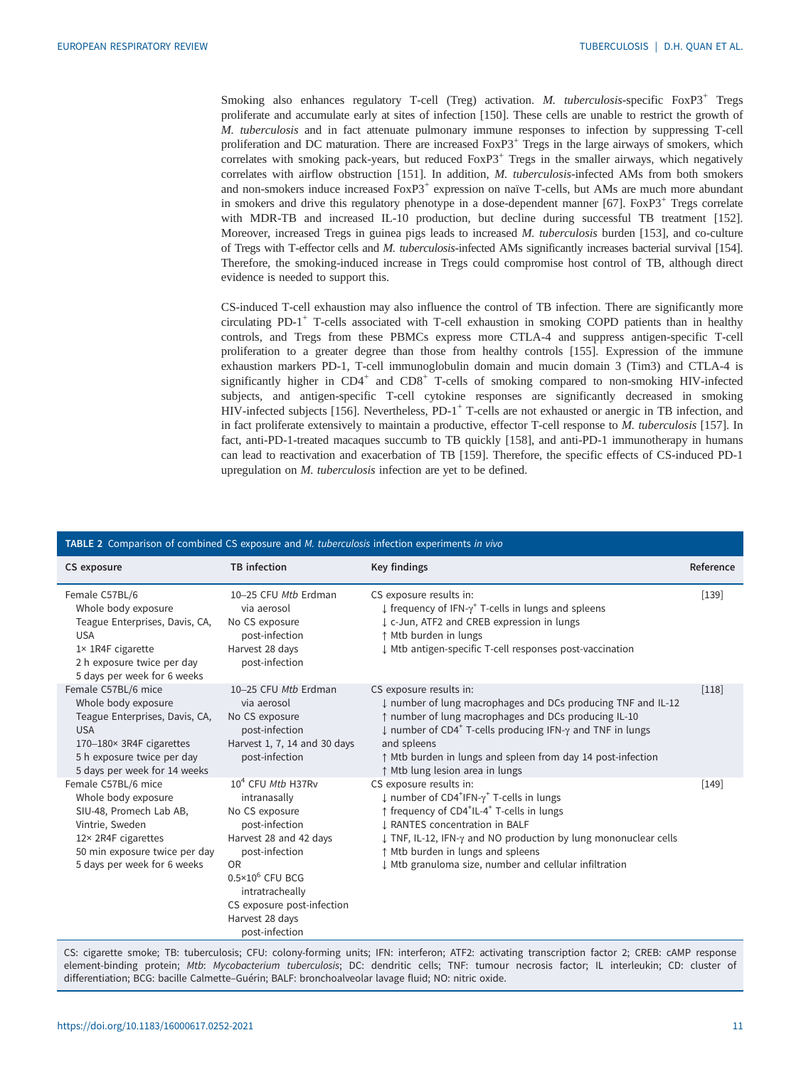<span id="page-10-0"></span>Smoking also enhances regulatory T-cell (Treg) activation. M. tuberculosis-specific FoxP3<sup>+</sup> Tregs proliferate and accumulate early at sites of infection [\[150](#page-18-0)]. These cells are unable to restrict the growth of M. tuberculosis and in fact attenuate pulmonary immune responses to infection by suppressing T-cell proliferation and DC maturation. There are increased FoxP3<sup>+</sup> Tregs in the large airways of smokers, which correlates with smoking pack-years, but reduced  $FoxP3<sup>+</sup>$  Tregs in the smaller airways, which negatively correlates with airflow obstruction [\[151\]](#page-18-0). In addition, M. tuberculosis-infected AMs from both smokers and non-smokers induce increased FoxP3<sup>+</sup> expression on naïve T-cells, but AMs are much more abundant in smokers and drive this regulatory phenotype in a dose-dependent manner  $[67]$  $[67]$ . Fox $P3^+$  Tregs correlate with MDR-TB and increased IL-10 production, but decline during successful TB treatment [\[152\]](#page-18-0). Moreover, increased Tregs in guinea pigs leads to increased  $M$ . tuberculosis burden [[153](#page-18-0)], and co-culture of Tregs with T-effector cells and M. tuberculosis-infected AMs significantly increases bacterial survival [[154\]](#page-18-0). Therefore, the smoking-induced increase in Tregs could compromise host control of TB, although direct evidence is needed to support this.

CS-induced T-cell exhaustion may also influence the control of TB infection. There are significantly more circulating PD-1 $^+$  T-cells associated with T-cell exhaustion in smoking COPD patients than in healthy controls, and Tregs from these PBMCs express more CTLA-4 and suppress antigen-specific T-cell proliferation to a greater degree than those from healthy controls [[155](#page-18-0)]. Expression of the immune exhaustion markers PD-1, T-cell immunoglobulin domain and mucin domain 3 (Tim3) and CTLA-4 is significantly higher in  $CD4^+$  and  $CD8^+$  T-cells of smoking compared to non-smoking HIV-infected subjects, and antigen-specific T-cell cytokine responses are significantly decreased in smoking HIV-infected subjects [\[156\]](#page-18-0). Nevertheless, PD-1<sup>+</sup> T-cells are not exhausted or anergic in TB infection, and in fact proliferate extensively to maintain a productive, effector T-cell response to M. tuberculosis [[157](#page-18-0)]. In fact, anti-PD-1-treated macaques succumb to TB quickly [[158](#page-18-0)], and anti-PD-1 immunotherapy in humans can lead to reactivation and exacerbation of TB [[159](#page-18-0)]. Therefore, the specific effects of CS-induced PD-1 upregulation on M. tuberculosis infection are yet to be defined.

| <b>TABLE 2</b> Comparison of combined CS exposure and <i>M. tuberculosis</i> infection experiments in vivo                                                                           |                                                                                                                                                                                                                                                     |                                                                                                                                                                                                                                                                                                                                                                                                          |           |  |  |  |
|--------------------------------------------------------------------------------------------------------------------------------------------------------------------------------------|-----------------------------------------------------------------------------------------------------------------------------------------------------------------------------------------------------------------------------------------------------|----------------------------------------------------------------------------------------------------------------------------------------------------------------------------------------------------------------------------------------------------------------------------------------------------------------------------------------------------------------------------------------------------------|-----------|--|--|--|
| CS exposure                                                                                                                                                                          | <b>TB</b> infection                                                                                                                                                                                                                                 | Key findings                                                                                                                                                                                                                                                                                                                                                                                             | Reference |  |  |  |
| Female C57BL/6<br>Whole body exposure<br>Teague Enterprises, Davis, CA,<br><b>USA</b><br>1× 1R4F cigarette<br>2 h exposure twice per day<br>5 days per week for 6 weeks              | 10-25 CFU Mtb Erdman<br>via aerosol<br>No CS exposure<br>post-infection<br>Harvest 28 days<br>post-infection                                                                                                                                        | CS exposure results in:<br>$\downarrow$ frequency of IFN- $\gamma^*$ T-cells in lungs and spleens<br>L c-Jun, ATF2 and CREB expression in lungs<br>↑ Mtb burden in lungs<br>↓ Mtb antigen-specific T-cell responses post-vaccination                                                                                                                                                                     | $[139]$   |  |  |  |
| Female C57BL/6 mice<br>Whole body exposure<br>Teague Enterprises, Davis, CA,<br><b>USA</b><br>170-180× 3R4F cigarettes<br>5 h exposure twice per day<br>5 days per week for 14 weeks | 10-25 CFU Mtb Erdman<br>via aerosol<br>No CS exposure<br>post-infection<br>Harvest 1, 7, 14 and 30 days<br>post-infection                                                                                                                           | CS exposure results in:<br>↓ number of lung macrophages and DCs producing TNF and IL-12<br>↑ number of lung macrophages and DCs producing IL-10<br>$\downarrow$ number of CD4 <sup>+</sup> T-cells producing IFN- $\gamma$ and TNF in lungs<br>and spleens<br>↑ Mtb burden in lungs and spleen from day 14 post-infection<br>↑ Mtb lung lesion area in lungs                                             | $[118]$   |  |  |  |
| Female C57BL/6 mice<br>Whole body exposure<br>SIU-48, Promech Lab AB,<br>Vintrie, Sweden<br>12× 2R4F cigarettes<br>50 min exposure twice per day<br>5 days per week for 6 weeks      | $104$ CFU Mtb H37Rv<br>intranasally<br>No CS exposure<br>post-infection<br>Harvest 28 and 42 days<br>post-infection<br><b>OR</b><br>$0.5 \times 10^6$ CFU BCG<br>intratracheally<br>CS exposure post-infection<br>Harvest 28 days<br>post-infection | CS exposure results in:<br>$\downarrow$ number of CD4 <sup>+</sup> IFN- $\gamma$ <sup>+</sup> T-cells in lungs<br>↑ frequency of CD4 <sup>+</sup> IL-4 <sup>+</sup> T-cells in lungs<br><b>J. RANTES concentration in BALF</b><br>↓ TNF, IL-12, IFN- $\gamma$ and NO production by lung mononuclear cells<br>↑ Mtb burden in lungs and spleens<br>↓ Mtb granuloma size, number and cellular infiltration | $[149]$   |  |  |  |

# TABLE 2 Comparison of combined CS exposure and M. tuberculosis infection experiments in vivo

CS: cigarette smoke; TB: tuberculosis; CFU: colony-forming units; IFN: interferon; ATF2: activating transcription factor 2; CREB: cAMP response element-binding protein; Mtb: Mycobacterium tuberculosis; DC: dendritic cells; TNF: tumour necrosis factor; IL interleukin; CD: cluster of differentiation; BCG: bacille Calmette–Guérin; BALF: bronchoalveolar lavage fluid; NO: nitric oxide.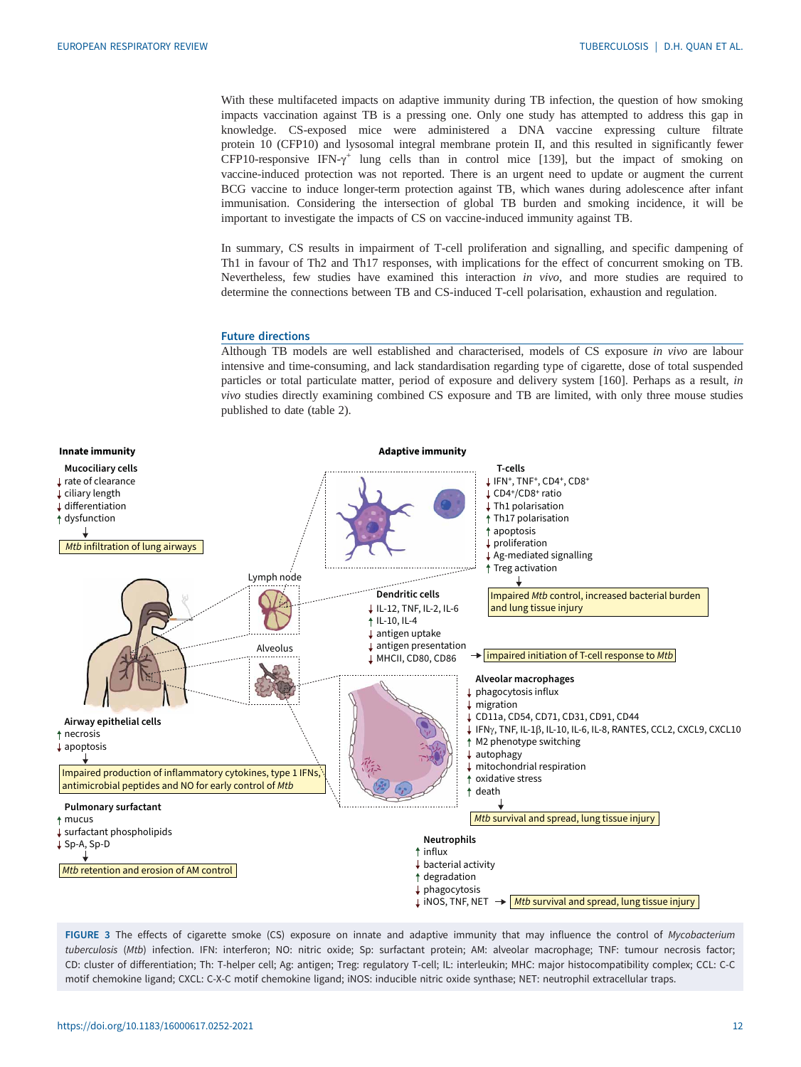<span id="page-11-0"></span>With these multifaceted impacts on adaptive immunity during TB infection, the question of how smoking impacts vaccination against TB is a pressing one. Only one study has attempted to address this gap in knowledge. CS-exposed mice were administered a DNA vaccine expressing culture filtrate protein 10 (CFP10) and lysosomal integral membrane protein II, and this resulted in significantly fewer CFP10-responsive IFN- $\gamma^+$  lung cells than in control mice [[139](#page-17-0)], but the impact of smoking on vaccine-induced protection was not reported. There is an urgent need to update or augment the current BCG vaccine to induce longer-term protection against TB, which wanes during adolescence after infant immunisation. Considering the intersection of global TB burden and smoking incidence, it will be important to investigate the impacts of CS on vaccine-induced immunity against TB.

In summary, CS results in impairment of T-cell proliferation and signalling, and specific dampening of Th1 in favour of Th2 and Th17 responses, with implications for the effect of concurrent smoking on TB. Nevertheless, few studies have examined this interaction in vivo, and more studies are required to determine the connections between TB and CS-induced T-cell polarisation, exhaustion and regulation.

#### Future directions

Although TB models are well established and characterised, models of CS exposure in vivo are labour intensive and time-consuming, and lack standardisation regarding type of cigarette, dose of total suspended particles or total particulate matter, period of exposure and delivery system [[160](#page-18-0)]. Perhaps as a result, in vivo studies directly examining combined CS exposure and TB are limited, with only three mouse studies published to date ([table 2](#page-10-0)).



FIGURE 3 The effects of cigarette smoke (CS) exposure on innate and adaptive immunity that may influence the control of Mycobacterium tuberculosis (Mtb) infection. IFN: interferon; NO: nitric oxide; Sp: surfactant protein; AM: alveolar macrophage; TNF: tumour necrosis factor; CD: cluster of differentiation; Th: T-helper cell; Ag: antigen; Treg: regulatory T-cell; IL: interleukin; MHC: major histocompatibility complex; CCL: C-C motif chemokine ligand; CXCL: C-X-C motif chemokine ligand; iNOS: inducible nitric oxide synthase; NET: neutrophil extracellular traps.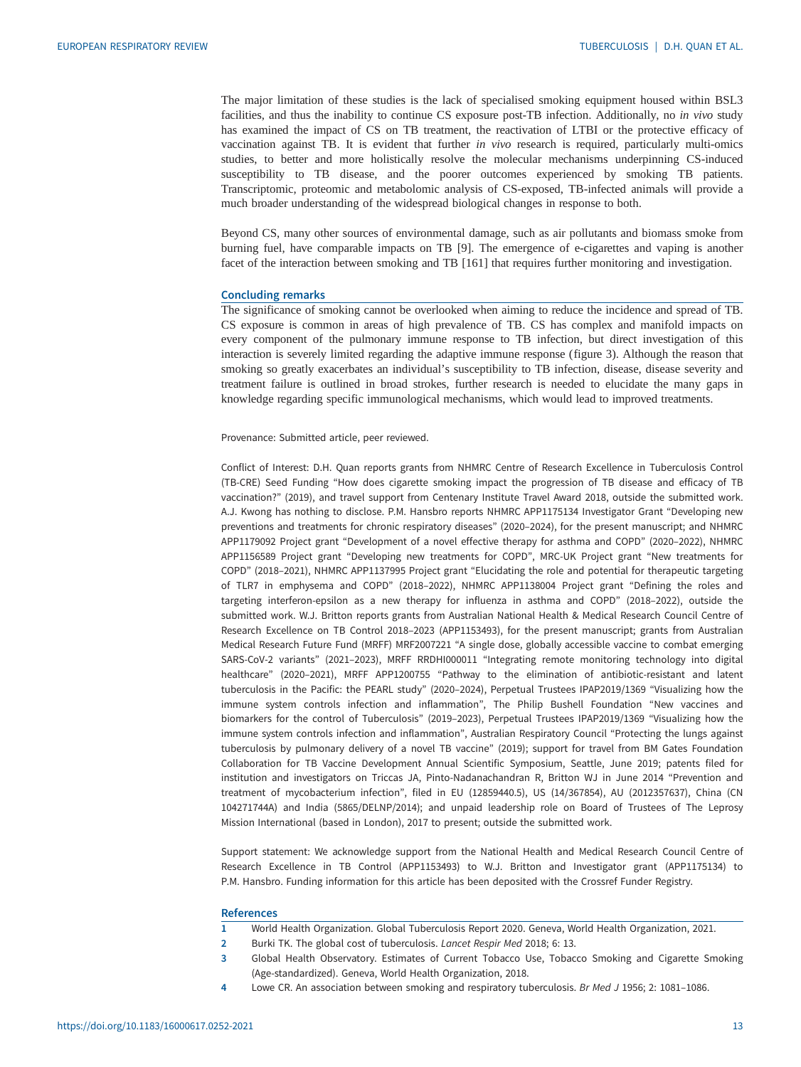<span id="page-12-0"></span>The major limitation of these studies is the lack of specialised smoking equipment housed within BSL3 facilities, and thus the inability to continue CS exposure post-TB infection. Additionally, no in vivo study has examined the impact of CS on TB treatment, the reactivation of LTBI or the protective efficacy of vaccination against TB. It is evident that further in vivo research is required, particularly multi-omics studies, to better and more holistically resolve the molecular mechanisms underpinning CS-induced susceptibility to TB disease, and the poorer outcomes experienced by smoking TB patients. Transcriptomic, proteomic and metabolomic analysis of CS-exposed, TB-infected animals will provide a much broader understanding of the widespread biological changes in response to both.

Beyond CS, many other sources of environmental damage, such as air pollutants and biomass smoke from burning fuel, have comparable impacts on TB [\[9\]](#page-13-0). The emergence of e-cigarettes and vaping is another facet of the interaction between smoking and TB [\[161\]](#page-18-0) that requires further monitoring and investigation.

# Concluding remarks

The significance of smoking cannot be overlooked when aiming to reduce the incidence and spread of TB. CS exposure is common in areas of high prevalence of TB. CS has complex and manifold impacts on every component of the pulmonary immune response to TB infection, but direct investigation of this interaction is severely limited regarding the adaptive immune response [\(figure 3](#page-11-0)). Although the reason that smoking so greatly exacerbates an individual's susceptibility to TB infection, disease, disease severity and treatment failure is outlined in broad strokes, further research is needed to elucidate the many gaps in knowledge regarding specific immunological mechanisms, which would lead to improved treatments.

Provenance: Submitted article, peer reviewed.

Conflict of Interest: D.H. Quan reports grants from NHMRC Centre of Research Excellence in Tuberculosis Control (TB-CRE) Seed Funding "How does cigarette smoking impact the progression of TB disease and efficacy of TB vaccination?" (2019), and travel support from Centenary Institute Travel Award 2018, outside the submitted work. A.J. Kwong has nothing to disclose. P.M. Hansbro reports NHMRC APP1175134 Investigator Grant "Developing new preventions and treatments for chronic respiratory diseases" (2020–2024), for the present manuscript; and NHMRC APP1179092 Project grant "Development of a novel effective therapy for asthma and COPD" (2020–2022), NHMRC APP1156589 Project grant "Developing new treatments for COPD", MRC-UK Project grant "New treatments for COPD" (2018–2021), NHMRC APP1137995 Project grant "Elucidating the role and potential for therapeutic targeting of TLR7 in emphysema and COPD" (2018–2022), NHMRC APP1138004 Project grant "Defining the roles and targeting interferon-epsilon as a new therapy for influenza in asthma and COPD" (2018–2022), outside the submitted work. W.J. Britton reports grants from Australian National Health & Medical Research Council Centre of Research Excellence on TB Control 2018–2023 (APP1153493), for the present manuscript; grants from Australian Medical Research Future Fund (MRFF) MRF2007221 "A single dose, globally accessible vaccine to combat emerging SARS-CoV-2 variants" (2021–2023), MRFF RRDHI000011 "Integrating remote monitoring technology into digital healthcare" (2020–2021), MRFF APP1200755 "Pathway to the elimination of antibiotic-resistant and latent tuberculosis in the Pacific: the PEARL study" (2020–2024), Perpetual Trustees IPAP2019/1369 "Visualizing how the immune system controls infection and inflammation", The Philip Bushell Foundation "New vaccines and biomarkers for the control of Tuberculosis" (2019–2023), Perpetual Trustees IPAP2019/1369 "Visualizing how the immune system controls infection and inflammation", Australian Respiratory Council "Protecting the lungs against tuberculosis by pulmonary delivery of a novel TB vaccine" (2019); support for travel from BM Gates Foundation Collaboration for TB Vaccine Development Annual Scientific Symposium, Seattle, June 2019; patents filed for institution and investigators on Triccas JA, Pinto-Nadanachandran R, Britton WJ in June 2014 "Prevention and treatment of mycobacterium infection", filed in EU (12859440.5), US (14/367854), AU (2012357637), China (CN 104271744A) and India (5865/DELNP/2014); and unpaid leadership role on Board of Trustees of The Leprosy Mission International (based in London), 2017 to present; outside the submitted work.

Support statement: We acknowledge support from the National Health and Medical Research Council Centre of Research Excellence in TB Control (APP1153493) to W.J. Britton and Investigator grant (APP1175134) to P.M. Hansbro. Funding information for this article has been deposited with the [Crossref Funder Registry.](https://www.crossref.org/services/funder-registry/)

#### **References**

- 1 World Health Organization. Global Tuberculosis Report 2020. Geneva, World Health Organization, 2021.
- 2 Burki TK. The global cost of tuberculosis. Lancet Respir Med 2018; 6: 13.
- 3 Global Health Observatory. Estimates of Current Tobacco Use, Tobacco Smoking and Cigarette Smoking (Age-standardized). Geneva, World Health Organization, 2018.
- 4 Lowe CR. An association between smoking and respiratory tuberculosis. Br Med J 1956; 2: 1081-1086.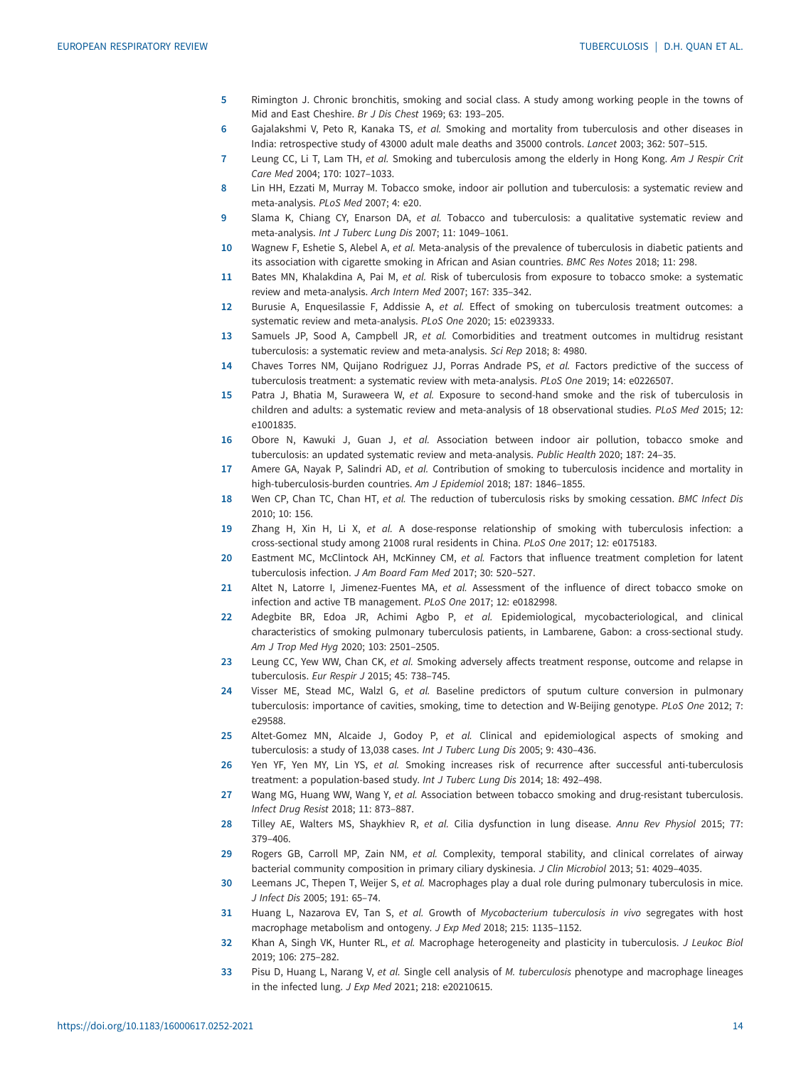- <span id="page-13-0"></span>5 Rimington J. Chronic bronchitis, smoking and social class. A study among working people in the towns of Mid and East Cheshire. Br J Dis Chest 1969; 63: 193–205.
- 6 Gajalakshmi V, Peto R, Kanaka TS, et al. Smoking and mortality from tuberculosis and other diseases in India: retrospective study of 43000 adult male deaths and 35000 controls. Lancet 2003; 362: 507–515.
- 7 Leung CC, Li T, Lam TH, et al. Smoking and tuberculosis among the elderly in Hong Kong. Am J Respir Crit Care Med 2004; 170: 1027–1033.
- 8 Lin HH, Ezzati M, Murray M. Tobacco smoke, indoor air pollution and tuberculosis: a systematic review and meta-analysis. PLoS Med 2007; 4: e20.
- 9 Slama K, Chiang CY, Enarson DA, et al. Tobacco and tuberculosis: a qualitative systematic review and meta-analysis. Int J Tuberc Lung Dis 2007; 11: 1049–1061.
- 10 Wagnew F, Eshetie S, Alebel A, et al. Meta-analysis of the prevalence of tuberculosis in diabetic patients and its association with cigarette smoking in African and Asian countries. BMC Res Notes 2018; 11: 298.
- 11 Bates MN, Khalakdina A, Pai M, et al. Risk of tuberculosis from exposure to tobacco smoke: a systematic review and meta-analysis. Arch Intern Med 2007; 167: 335–342.
- 12 Burusie A, Enquesilassie F, Addissie A, et al. Effect of smoking on tuberculosis treatment outcomes: a systematic review and meta-analysis. PLoS One 2020; 15: e0239333.
- 13 Samuels JP, Sood A, Campbell JR, et al. Comorbidities and treatment outcomes in multidrug resistant tuberculosis: a systematic review and meta-analysis. Sci Rep 2018; 8: 4980.
- 14 Chaves Torres NM, Quijano Rodriguez JJ, Porras Andrade PS, et al. Factors predictive of the success of tuberculosis treatment: a systematic review with meta-analysis. PLoS One 2019; 14: e0226507.
- 15 Patra J, Bhatia M, Suraweera W, et al. Exposure to second-hand smoke and the risk of tuberculosis in children and adults: a systematic review and meta-analysis of 18 observational studies. PLoS Med 2015; 12: e1001835.
- 16 Obore N, Kawuki J, Guan J, et al. Association between indoor air pollution, tobacco smoke and tuberculosis: an updated systematic review and meta-analysis. Public Health 2020; 187: 24–35.
- 17 Amere GA, Nayak P, Salindri AD, et al. Contribution of smoking to tuberculosis incidence and mortality in high-tuberculosis-burden countries. Am J Epidemiol 2018; 187: 1846–1855.
- 18 Wen CP, Chan TC, Chan HT, et al. The reduction of tuberculosis risks by smoking cessation. BMC Infect Dis 2010; 10: 156.
- 19 Zhang H, Xin H, Li X, et al. A dose-response relationship of smoking with tuberculosis infection: a cross-sectional study among 21008 rural residents in China. PLoS One 2017; 12: e0175183.
- 20 Eastment MC, McClintock AH, McKinney CM, et al. Factors that influence treatment completion for latent tuberculosis infection. J Am Board Fam Med 2017; 30: 520–527.
- 21 Altet N, Latorre I, Jimenez-Fuentes MA, et al. Assessment of the influence of direct tobacco smoke on infection and active TB management. PLoS One 2017; 12: e0182998.
- 22 Adegbite BR, Edoa JR, Achimi Agbo P, et al. Epidemiological, mycobacteriological, and clinical characteristics of smoking pulmonary tuberculosis patients, in Lambarene, Gabon: a cross-sectional study. Am J Trop Med Hyg 2020; 103: 2501–2505.
- 23 Leung CC, Yew WW, Chan CK, et al. Smoking adversely affects treatment response, outcome and relapse in tuberculosis. Eur Respir J 2015; 45: 738–745.
- 24 Visser ME, Stead MC, Walzl G, et al. Baseline predictors of sputum culture conversion in pulmonary tuberculosis: importance of cavities, smoking, time to detection and W-Beijing genotype. PLoS One 2012; 7: e29588.
- 25 Altet-Gomez MN, Alcaide J, Godoy P, et al. Clinical and epidemiological aspects of smoking and tuberculosis: a study of 13,038 cases. Int J Tuberc Lung Dis 2005; 9: 430–436.
- 26 Yen YF, Yen MY, Lin YS, et al. Smoking increases risk of recurrence after successful anti-tuberculosis treatment: a population-based study. Int J Tuberc Lung Dis 2014; 18: 492–498.
- 27 Wang MG, Huang WW, Wang Y, et al. Association between tobacco smoking and drug-resistant tuberculosis. Infect Drug Resist 2018; 11: 873–887.
- 28 Tilley AE, Walters MS, Shaykhiev R, et al. Cilia dysfunction in lung disease. Annu Rev Physiol 2015; 77: 379–406.
- 29 Rogers GB, Carroll MP, Zain NM, et al. Complexity, temporal stability, and clinical correlates of airway bacterial community composition in primary ciliary dyskinesia. J Clin Microbiol 2013; 51: 4029–4035.
- 30 Leemans JC, Thepen T, Weijer S, et al. Macrophages play a dual role during pulmonary tuberculosis in mice. J Infect Dis 2005; 191: 65–74.
- 31 Huang L, Nazarova EV, Tan S, et al. Growth of Mycobacterium tuberculosis in vivo segregates with host macrophage metabolism and ontogeny. J Exp Med 2018; 215: 1135–1152.
- 32 Khan A, Singh VK, Hunter RL, et al. Macrophage heterogeneity and plasticity in tuberculosis. J Leukoc Biol 2019; 106: 275–282.
- 33 Pisu D, Huang L, Narang V, et al. Single cell analysis of M. tuberculosis phenotype and macrophage lineages in the infected lung. J Exp Med 2021; 218: e20210615.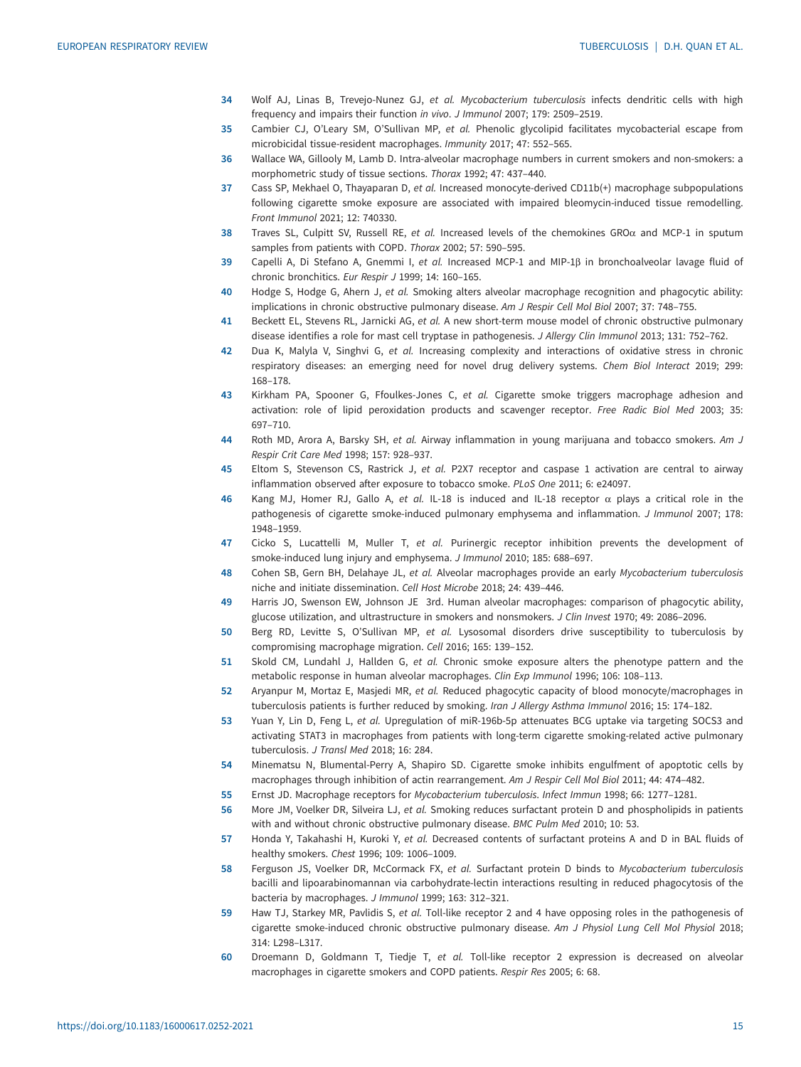- <span id="page-14-0"></span>34 Wolf AJ, Linas B, Trevejo-Nunez GJ, et al. Mycobacterium tuberculosis infects dendritic cells with high frequency and impairs their function in vivo. J Immunol 2007; 179: 2509–2519.
- 35 Cambier CJ, O'Leary SM, O'Sullivan MP, et al. Phenolic glycolipid facilitates mycobacterial escape from microbicidal tissue-resident macrophages. Immunity 2017; 47: 552–565.
- 36 Wallace WA, Gillooly M, Lamb D. Intra-alveolar macrophage numbers in current smokers and non-smokers: a morphometric study of tissue sections. Thorax 1992; 47: 437–440.
- 37 Cass SP, Mekhael O, Thayaparan D, et al. Increased monocyte-derived CD11b(+) macrophage subpopulations following cigarette smoke exposure are associated with impaired bleomycin-induced tissue remodelling. Front Immunol 2021; 12: 740330.
- 38 Traves SL, Culpitt SV, Russell RE, et al. Increased levels of the chemokines GRO $\alpha$  and MCP-1 in sputum samples from patients with COPD. Thorax 2002; 57: 590–595.
- 39 Capelli A, Di Stefano A, Gnemmi I, et al. Increased MCP-1 and MIP-1β in bronchoalveolar lavage fluid of chronic bronchitics. Eur Respir J 1999; 14: 160–165.
- 40 Hodge S, Hodge G, Ahern J, et al. Smoking alters alveolar macrophage recognition and phagocytic ability: implications in chronic obstructive pulmonary disease. Am J Respir Cell Mol Biol 2007; 37: 748–755.
- 41 Beckett EL, Stevens RL, Jarnicki AG, et al. A new short-term mouse model of chronic obstructive pulmonary disease identifies a role for mast cell tryptase in pathogenesis. J Allergy Clin Immunol 2013; 131: 752–762.
- 42 Dua K, Malyla V, Singhvi G, et al. Increasing complexity and interactions of oxidative stress in chronic respiratory diseases: an emerging need for novel drug delivery systems. Chem Biol Interact 2019; 299: 168–178.
- 43 Kirkham PA, Spooner G, Ffoulkes-Jones C, et al. Cigarette smoke triggers macrophage adhesion and activation: role of lipid peroxidation products and scavenger receptor. Free Radic Biol Med 2003; 35: 697–710.
- 44 Roth MD, Arora A, Barsky SH, et al. Airway inflammation in young marijuana and tobacco smokers. Am J Respir Crit Care Med 1998; 157: 928–937.
- 45 Eltom S, Stevenson CS, Rastrick J, et al. P2X7 receptor and caspase 1 activation are central to airway inflammation observed after exposure to tobacco smoke. PLoS One 2011; 6: e24097.
- 46 Kang MJ, Homer RJ, Gallo A, et al. IL-18 is induced and IL-18 receptor  $\alpha$  plays a critical role in the pathogenesis of cigarette smoke-induced pulmonary emphysema and inflammation. J Immunol 2007; 178: 1948–1959.
- 47 Cicko S, Lucattelli M, Muller T, et al. Purinergic receptor inhibition prevents the development of smoke-induced lung injury and emphysema. J Immunol 2010; 185: 688–697.
- 48 Cohen SB, Gern BH, Delahaye JL, et al. Alveolar macrophages provide an early Mycobacterium tuberculosis niche and initiate dissemination. Cell Host Microbe 2018; 24: 439–446.
- 49 Harris JO, Swenson EW, Johnson JE 3rd. Human alveolar macrophages: comparison of phagocytic ability, glucose utilization, and ultrastructure in smokers and nonsmokers. J Clin Invest 1970; 49: 2086–2096.
- 50 Berg RD, Levitte S, O'Sullivan MP, et al. Lysosomal disorders drive susceptibility to tuberculosis by compromising macrophage migration. Cell 2016; 165: 139–152.
- 51 Skold CM, Lundahl J, Hallden G, et al. Chronic smoke exposure alters the phenotype pattern and the metabolic response in human alveolar macrophages. Clin Exp Immunol 1996; 106: 108–113.
- 52 Aryanpur M, Mortaz E, Masjedi MR, et al. Reduced phagocytic capacity of blood monocyte/macrophages in tuberculosis patients is further reduced by smoking. Iran J Allergy Asthma Immunol 2016; 15: 174–182.
- 53 Yuan Y, Lin D, Feng L, et al. Upregulation of miR-196b-5p attenuates BCG uptake via targeting SOCS3 and activating STAT3 in macrophages from patients with long-term cigarette smoking-related active pulmonary tuberculosis. J Transl Med 2018; 16: 284.
- 54 Minematsu N, Blumental-Perry A, Shapiro SD. Cigarette smoke inhibits engulfment of apoptotic cells by macrophages through inhibition of actin rearrangement. Am J Respir Cell Mol Biol 2011; 44: 474–482.
- 55 Ernst JD. Macrophage receptors for Mycobacterium tuberculosis. Infect Immun 1998; 66: 1277–1281.
- 56 More JM, Voelker DR, Silveira LJ, et al. Smoking reduces surfactant protein D and phospholipids in patients with and without chronic obstructive pulmonary disease. BMC Pulm Med 2010; 10: 53.
- 57 Honda Y, Takahashi H, Kuroki Y, et al. Decreased contents of surfactant proteins A and D in BAL fluids of healthy smokers. Chest 1996; 109: 1006–1009.
- 58 Ferguson JS, Voelker DR, McCormack FX, et al. Surfactant protein D binds to Mycobacterium tuberculosis bacilli and lipoarabinomannan via carbohydrate-lectin interactions resulting in reduced phagocytosis of the bacteria by macrophages. J Immunol 1999; 163: 312–321.
- 59 Haw TJ, Starkey MR, Pavlidis S, et al. Toll-like receptor 2 and 4 have opposing roles in the pathogenesis of cigarette smoke-induced chronic obstructive pulmonary disease. Am J Physiol Lung Cell Mol Physiol 2018; 314: L298–L317.
- 60 Droemann D, Goldmann T, Tiedje T, et al. Toll-like receptor 2 expression is decreased on alveolar macrophages in cigarette smokers and COPD patients. Respir Res 2005; 6: 68.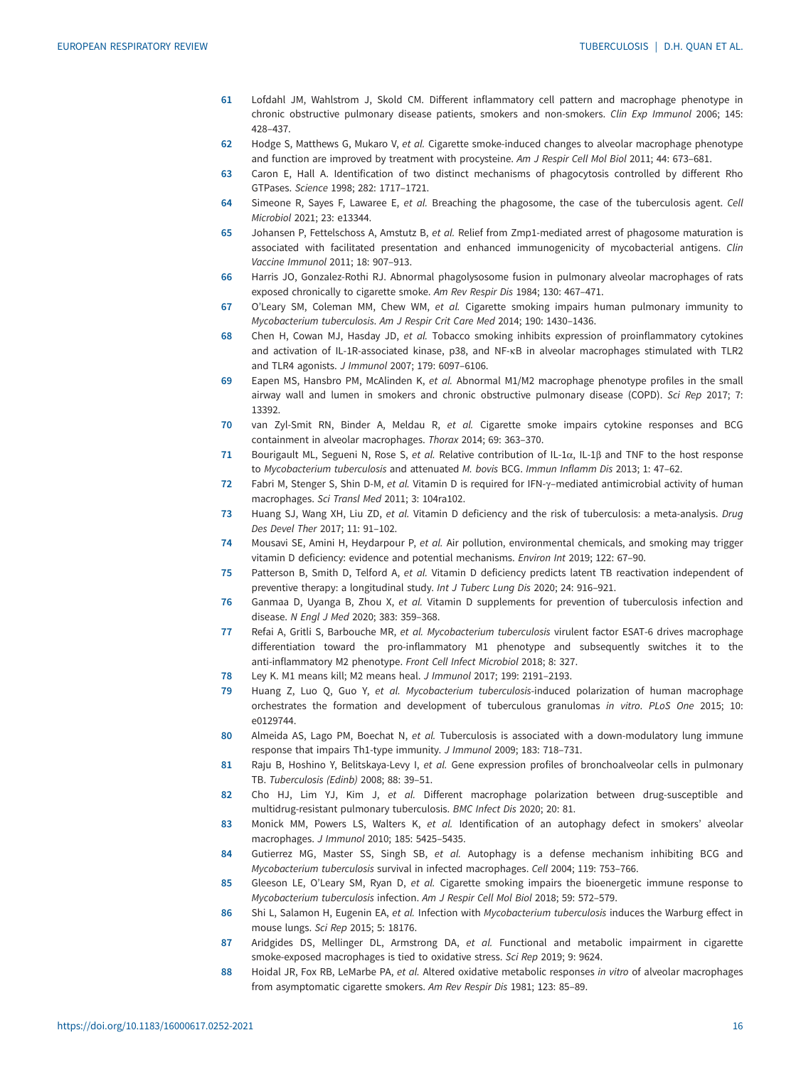- <span id="page-15-0"></span>61 Lofdahl JM, Wahlstrom J, Skold CM. Different inflammatory cell pattern and macrophage phenotype in chronic obstructive pulmonary disease patients, smokers and non-smokers. Clin Exp Immunol 2006; 145: 428–437.
- 62 Hodge S, Matthews G, Mukaro V, et al. Cigarette smoke-induced changes to alveolar macrophage phenotype and function are improved by treatment with procysteine. Am J Respir Cell Mol Biol 2011; 44: 673-681.
- 63 Caron E, Hall A. Identification of two distinct mechanisms of phagocytosis controlled by different Rho GTPases. Science 1998; 282: 1717–1721.
- 64 Simeone R, Sayes F, Lawaree E, et al. Breaching the phagosome, the case of the tuberculosis agent. Cell Microbiol 2021; 23: e13344.
- 65 Johansen P, Fettelschoss A, Amstutz B, et al. Relief from Zmp1-mediated arrest of phagosome maturation is associated with facilitated presentation and enhanced immunogenicity of mycobacterial antigens. Clin Vaccine Immunol 2011; 18: 907–913.
- 66 Harris JO, Gonzalez-Rothi RJ. Abnormal phagolysosome fusion in pulmonary alveolar macrophages of rats exposed chronically to cigarette smoke. Am Rev Respir Dis 1984; 130: 467–471.
- 67 O'Leary SM, Coleman MM, Chew WM, et al. Cigarette smoking impairs human pulmonary immunity to Mycobacterium tuberculosis. Am J Respir Crit Care Med 2014; 190: 1430–1436.
- 68 Chen H, Cowan MJ, Hasday JD, et al. Tobacco smoking inhibits expression of proinflammatory cytokines and activation of IL-1R-associated kinase, p38, and NF-κB in alveolar macrophages stimulated with TLR2 and TLR4 agonists. J Immunol 2007; 179: 6097–6106.
- 69 Eapen MS, Hansbro PM, McAlinden K, et al. Abnormal M1/M2 macrophage phenotype profiles in the small airway wall and lumen in smokers and chronic obstructive pulmonary disease (COPD). Sci Rep 2017; 7: 13392.
- 70 van Zyl-Smit RN, Binder A, Meldau R, et al. Cigarette smoke impairs cytokine responses and BCG containment in alveolar macrophages. Thorax 2014; 69: 363–370.
- 71 Bourigault ML, Segueni N, Rose S, et al. Relative contribution of IL-1 $\alpha$ , IL-1 $\beta$  and TNF to the host response to Mycobacterium tuberculosis and attenuated M. bovis BCG. Immun Inflamm Dis 2013; 1: 47–62.
- 72 Fabri M, Stenger S, Shin D-M, et al. Vitamin D is required for IFN-γ–mediated antimicrobial activity of human macrophages. Sci Transl Med 2011; 3: 104ra102.
- 73 Huang SJ, Wang XH, Liu ZD, et al. Vitamin D deficiency and the risk of tuberculosis: a meta-analysis. Drug Des Devel Ther 2017; 11: 91–102.
- 74 Mousavi SE, Amini H, Heydarpour P, et al. Air pollution, environmental chemicals, and smoking may trigger vitamin D deficiency: evidence and potential mechanisms. Environ Int 2019; 122: 67–90.
- 75 Patterson B, Smith D, Telford A, et al. Vitamin D deficiency predicts latent TB reactivation independent of preventive therapy: a longitudinal study. Int J Tuberc Lung Dis 2020; 24: 916–921.
- 76 Ganmaa D, Uyanga B, Zhou X, et al. Vitamin D supplements for prevention of tuberculosis infection and disease. N Engl J Med 2020; 383: 359–368.
- 77 Refai A, Gritli S, Barbouche MR, et al. Mycobacterium tuberculosis virulent factor ESAT-6 drives macrophage differentiation toward the pro-inflammatory M1 phenotype and subsequently switches it to the anti-inflammatory M2 phenotype. Front Cell Infect Microbiol 2018; 8: 327.
- 78 Ley K. M1 means kill; M2 means heal. J Immunol 2017; 199: 2191–2193.
- 79 Huang Z, Luo Q, Guo Y, et al. Mycobacterium tuberculosis-induced polarization of human macrophage orchestrates the formation and development of tuberculous granulomas in vitro. PLoS One 2015; 10: e0129744.
- 80 Almeida AS, Lago PM, Boechat N, et al. Tuberculosis is associated with a down-modulatory lung immune response that impairs Th1-type immunity. J Immunol 2009; 183: 718–731.
- 81 Raju B, Hoshino Y, Belitskaya-Levy I, et al. Gene expression profiles of bronchoalveolar cells in pulmonary TB. Tuberculosis (Edinb) 2008; 88: 39–51.
- 82 Cho HJ, Lim YJ, Kim J, et al. Different macrophage polarization between drug-susceptible and multidrug-resistant pulmonary tuberculosis. BMC Infect Dis 2020; 20: 81.
- 83 Monick MM, Powers LS, Walters K, et al. Identification of an autophagy defect in smokers' alveolar macrophages. J Immunol 2010; 185: 5425–5435.
- 84 Gutierrez MG, Master SS, Singh SB, et al. Autophagy is a defense mechanism inhibiting BCG and Mycobacterium tuberculosis survival in infected macrophages. Cell 2004; 119: 753–766.
- 85 Gleeson LE, O'Leary SM, Ryan D, et al. Cigarette smoking impairs the bioenergetic immune response to Mycobacterium tuberculosis infection. Am J Respir Cell Mol Biol 2018; 59: 572–579.
- 86 Shi L, Salamon H, Eugenin EA, et al. Infection with Mycobacterium tuberculosis induces the Warburg effect in mouse lungs. Sci Rep 2015; 5: 18176.
- 87 Aridgides DS, Mellinger DL, Armstrong DA, et al. Functional and metabolic impairment in cigarette smoke-exposed macrophages is tied to oxidative stress. Sci Rep 2019; 9: 9624.
- 88 Hoidal JR, Fox RB, LeMarbe PA, et al. Altered oxidative metabolic responses in vitro of alveolar macrophages from asymptomatic cigarette smokers. Am Rev Respir Dis 1981; 123: 85–89.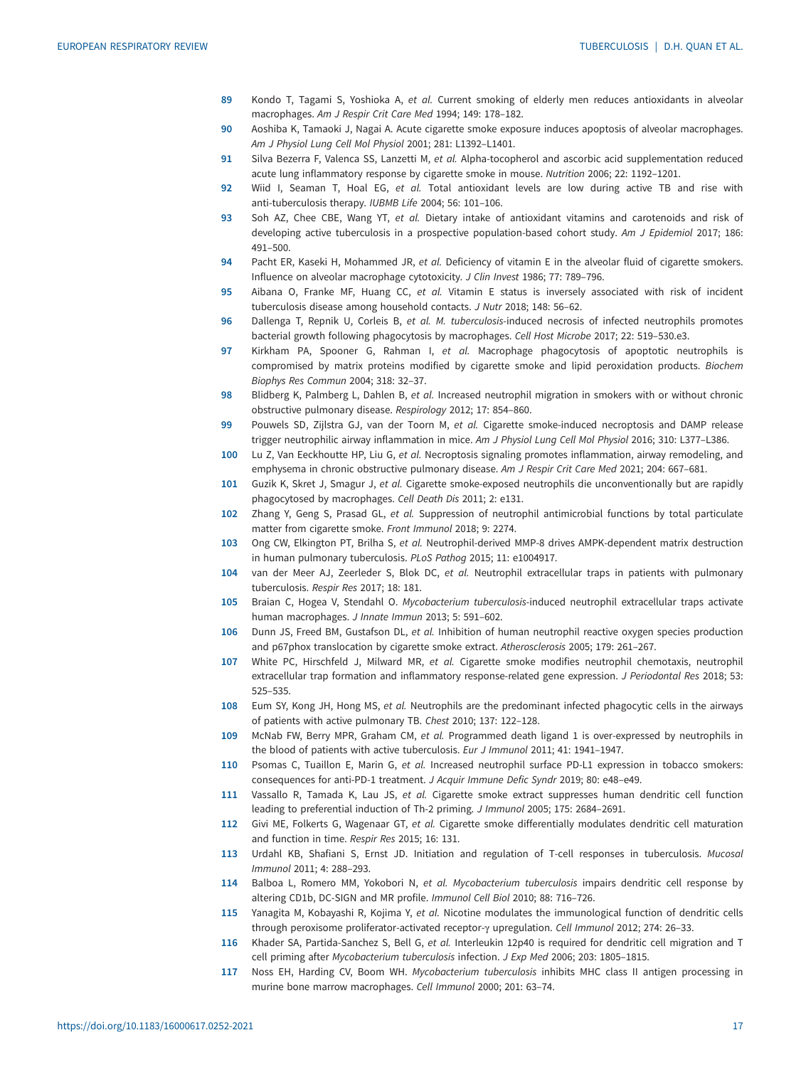- <span id="page-16-0"></span>89 Kondo T, Tagami S, Yoshioka A, et al. Current smoking of elderly men reduces antioxidants in alveolar macrophages. Am J Respir Crit Care Med 1994; 149: 178–182.
- 90 Aoshiba K, Tamaoki J, Nagai A. Acute cigarette smoke exposure induces apoptosis of alveolar macrophages. Am J Physiol Lung Cell Mol Physiol 2001; 281: L1392–L1401.
- 91 Silva Bezerra F, Valenca SS, Lanzetti M, et al. Alpha-tocopherol and ascorbic acid supplementation reduced acute lung inflammatory response by cigarette smoke in mouse. Nutrition 2006; 22: 1192–1201.
- 92 Wiid I, Seaman T, Hoal EG, et al. Total antioxidant levels are low during active TB and rise with anti-tuberculosis therapy. IUBMB Life 2004; 56: 101–106.
- 93 Soh AZ, Chee CBE, Wang YT, et al. Dietary intake of antioxidant vitamins and carotenoids and risk of developing active tuberculosis in a prospective population-based cohort study. Am J Epidemiol 2017; 186: 491–500.
- 94 Pacht ER, Kaseki H, Mohammed JR, et al. Deficiency of vitamin E in the alveolar fluid of cigarette smokers. Influence on alveolar macrophage cytotoxicity. J Clin Invest 1986; 77: 789–796.
- 95 Aibana O, Franke MF, Huang CC, et al. Vitamin E status is inversely associated with risk of incident tuberculosis disease among household contacts. J Nutr 2018; 148: 56–62.
- 96 Dallenga T, Repnik U, Corleis B, et al. M. tuberculosis-induced necrosis of infected neutrophils promotes bacterial growth following phagocytosis by macrophages. Cell Host Microbe 2017; 22: 519–530.e3.
- 97 Kirkham PA, Spooner G, Rahman I, et al. Macrophage phagocytosis of apoptotic neutrophils is compromised by matrix proteins modified by cigarette smoke and lipid peroxidation products. Biochem Biophys Res Commun 2004; 318: 32–37.
- 98 Blidberg K, Palmberg L, Dahlen B, et al. Increased neutrophil migration in smokers with or without chronic obstructive pulmonary disease. Respirology 2012; 17: 854–860.
- 99 Pouwels SD, Zijlstra GJ, van der Toorn M, et al. Cigarette smoke-induced necroptosis and DAMP release trigger neutrophilic airway inflammation in mice. Am J Physiol Lung Cell Mol Physiol 2016; 310: L377–L386.
- 100 Lu Z, Van Eeckhoutte HP, Liu G, et al. Necroptosis signaling promotes inflammation, airway remodeling, and emphysema in chronic obstructive pulmonary disease. Am J Respir Crit Care Med 2021; 204: 667–681.
- 101 Guzik K, Skret J, Smagur J, et al. Cigarette smoke-exposed neutrophils die unconventionally but are rapidly phagocytosed by macrophages. Cell Death Dis 2011; 2: e131.
- 102 Zhang Y, Geng S, Prasad GL, et al. Suppression of neutrophil antimicrobial functions by total particulate matter from cigarette smoke. Front Immunol 2018; 9: 2274.
- 103 Ong CW, Elkington PT, Brilha S, et al. Neutrophil-derived MMP-8 drives AMPK-dependent matrix destruction in human pulmonary tuberculosis. PLoS Pathog 2015; 11: e1004917.
- 104 van der Meer AJ, Zeerleder S, Blok DC, et al. Neutrophil extracellular traps in patients with pulmonary tuberculosis. Respir Res 2017; 18: 181.
- 105 Braian C, Hogea V, Stendahl O. Mycobacterium tuberculosis-induced neutrophil extracellular traps activate human macrophages. J Innate Immun 2013; 5: 591–602.
- 106 Dunn JS, Freed BM, Gustafson DL, et al. Inhibition of human neutrophil reactive oxygen species production and p67phox translocation by cigarette smoke extract. Atherosclerosis 2005; 179: 261–267.
- 107 White PC, Hirschfeld J, Milward MR, et al. Cigarette smoke modifies neutrophil chemotaxis, neutrophil extracellular trap formation and inflammatory response-related gene expression. J Periodontal Res 2018; 53: 525–535.
- 108 Eum SY, Kong JH, Hong MS, et al. Neutrophils are the predominant infected phagocytic cells in the airways of patients with active pulmonary TB. Chest 2010; 137: 122–128.
- 109 McNab FW, Berry MPR, Graham CM, et al. Programmed death ligand 1 is over-expressed by neutrophils in the blood of patients with active tuberculosis. Eur J Immunol 2011; 41: 1941–1947.
- 110 Psomas C, Tuaillon E, Marin G, et al. Increased neutrophil surface PD-L1 expression in tobacco smokers: consequences for anti-PD-1 treatment. J Acquir Immune Defic Syndr 2019; 80: e48–e49.
- 111 Vassallo R, Tamada K, Lau JS, et al. Cigarette smoke extract suppresses human dendritic cell function leading to preferential induction of Th-2 priming. J Immunol 2005; 175: 2684–2691.
- 112 Givi ME, Folkerts G, Wagenaar GT, et al. Cigarette smoke differentially modulates dendritic cell maturation and function in time. Respir Res 2015; 16: 131.
- 113 Urdahl KB, Shafiani S, Ernst JD. Initiation and regulation of T-cell responses in tuberculosis. Mucosal Immunol 2011; 4: 288–293.
- 114 Balboa L, Romero MM, Yokobori N, et al. Mycobacterium tuberculosis impairs dendritic cell response by altering CD1b, DC-SIGN and MR profile. Immunol Cell Biol 2010; 88: 716–726.
- 115 Yanagita M, Kobayashi R, Kojima Y, et al. Nicotine modulates the immunological function of dendritic cells through peroxisome proliferator-activated receptor-γ upregulation. Cell Immunol 2012; 274: 26–33.
- 116 Khader SA, Partida-Sanchez S, Bell G, et al. Interleukin 12p40 is required for dendritic cell migration and T cell priming after Mycobacterium tuberculosis infection. J Exp Med 2006; 203: 1805–1815.
- 117 Noss EH, Harding CV, Boom WH. Mycobacterium tuberculosis inhibits MHC class II antigen processing in murine bone marrow macrophages. Cell Immunol 2000; 201: 63–74.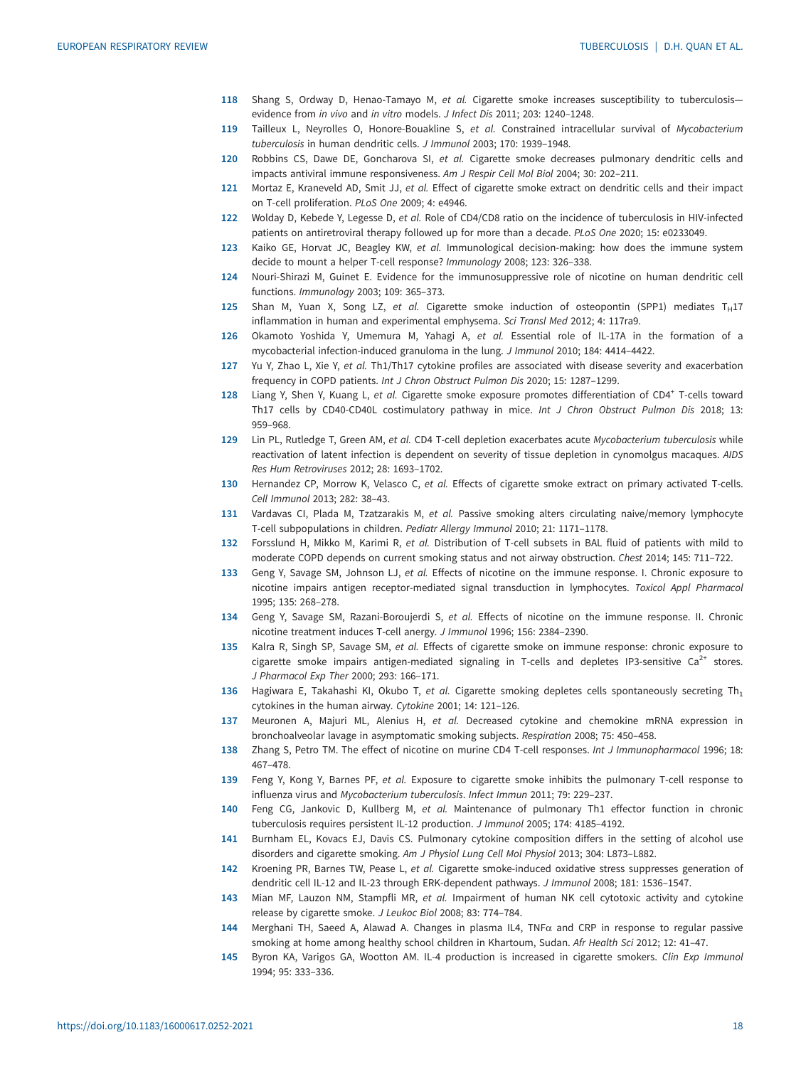- <span id="page-17-0"></span>118 Shang S, Ordway D, Henao-Tamayo M, et al. Cigarette smoke increases susceptibility to tuberculosisevidence from in vivo and in vitro models. J Infect Dis 2011; 203: 1240–1248.
- 119 Tailleux L, Neyrolles O, Honore-Bouakline S, et al. Constrained intracellular survival of Mycobacterium tuberculosis in human dendritic cells. J Immunol 2003; 170: 1939–1948.
- 120 Robbins CS, Dawe DE, Goncharova SI, et al. Cigarette smoke decreases pulmonary dendritic cells and impacts antiviral immune responsiveness. Am J Respir Cell Mol Biol 2004; 30: 202–211.
- 121 Mortaz E, Kraneveld AD, Smit JJ, et al. Effect of cigarette smoke extract on dendritic cells and their impact on T-cell proliferation. PLoS One 2009; 4: e4946.
- 122 Wolday D, Kebede Y, Legesse D, et al. Role of CD4/CD8 ratio on the incidence of tuberculosis in HIV-infected patients on antiretroviral therapy followed up for more than a decade. PLoS One 2020; 15: e0233049.
- 123 Kaiko GE, Horvat JC, Beagley KW, et al. Immunological decision-making: how does the immune system decide to mount a helper T-cell response? Immunology 2008; 123: 326–338.
- 124 Nouri-Shirazi M, Guinet E. Evidence for the immunosuppressive role of nicotine on human dendritic cell functions. Immunology 2003; 109: 365–373.
- 125 Shan M, Yuan X, Song LZ, et al. Cigarette smoke induction of osteopontin (SPP1) mediates  $T_H17$ inflammation in human and experimental emphysema. Sci Transl Med 2012; 4: 117ra9.
- 126 Okamoto Yoshida Y, Umemura M, Yahagi A, et al. Essential role of IL-17A in the formation of a mycobacterial infection-induced granuloma in the lung. J Immunol 2010; 184: 4414–4422.
- 127 Yu Y, Zhao L, Xie Y, et al. Th1/Th17 cytokine profiles are associated with disease severity and exacerbation frequency in COPD patients. Int J Chron Obstruct Pulmon Dis 2020; 15: 1287–1299.
- 128 Liang Y, Shen Y, Kuang L, et al. Cigarette smoke exposure promotes differentiation of CD4<sup>+</sup> T-cells toward Th17 cells by CD40-CD40L costimulatory pathway in mice. Int J Chron Obstruct Pulmon Dis 2018; 13: 959–968.
- 129 Lin PL, Rutledge T, Green AM, et al. CD4 T-cell depletion exacerbates acute Mycobacterium tuberculosis while reactivation of latent infection is dependent on severity of tissue depletion in cynomolgus macaques. AIDS Res Hum Retroviruses 2012; 28: 1693–1702.
- 130 Hernandez CP, Morrow K, Velasco C, et al. Effects of cigarette smoke extract on primary activated T-cells. Cell Immunol 2013; 282: 38–43.
- 131 Vardavas CI, Plada M, Tzatzarakis M, et al. Passive smoking alters circulating naive/memory lymphocyte T-cell subpopulations in children. Pediatr Allergy Immunol 2010; 21: 1171–1178.
- 132 Forsslund H, Mikko M, Karimi R, et al. Distribution of T-cell subsets in BAL fluid of patients with mild to moderate COPD depends on current smoking status and not airway obstruction. Chest 2014; 145: 711–722.
- 133 Geng Y, Savage SM, Johnson LJ, et al. Effects of nicotine on the immune response. I. Chronic exposure to nicotine impairs antigen receptor-mediated signal transduction in lymphocytes. Toxicol Appl Pharmacol 1995; 135: 268–278.
- 134 Geng Y, Savage SM, Razani-Boroujerdi S, et al. Effects of nicotine on the immune response. II. Chronic nicotine treatment induces T-cell anergy. J Immunol 1996; 156: 2384–2390.
- 135 Kalra R, Singh SP, Savage SM, et al. Effects of cigarette smoke on immune response: chronic exposure to cigarette smoke impairs antigen-mediated signaling in T-cells and depletes IP3-sensitive  $Ca^{2+}$  stores. J Pharmacol Exp Ther 2000; 293: 166–171.
- 136 Hagiwara E, Takahashi KI, Okubo T, et al. Cigarette smoking depletes cells spontaneously secreting Th<sub>1</sub> cytokines in the human airway. Cytokine 2001; 14: 121–126.
- 137 Meuronen A, Majuri ML, Alenius H, et al. Decreased cytokine and chemokine mRNA expression in bronchoalveolar lavage in asymptomatic smoking subjects. Respiration 2008; 75: 450–458.
- 138 Zhang S, Petro TM. The effect of nicotine on murine CD4 T-cell responses. Int J Immunopharmacol 1996; 18: 467–478.
- 139 Feng Y, Kong Y, Barnes PF, et al. Exposure to cigarette smoke inhibits the pulmonary T-cell response to influenza virus and Mycobacterium tuberculosis. Infect Immun 2011; 79: 229–237.
- 140 Feng CG, Jankovic D, Kullberg M, et al. Maintenance of pulmonary Th1 effector function in chronic tuberculosis requires persistent IL-12 production. J Immunol 2005; 174: 4185–4192.
- 141 Burnham EL, Kovacs EJ, Davis CS. Pulmonary cytokine composition differs in the setting of alcohol use disorders and cigarette smoking. Am J Physiol Lung Cell Mol Physiol 2013; 304: L873–L882.
- 142 Kroening PR, Barnes TW, Pease L, et al. Cigarette smoke-induced oxidative stress suppresses generation of dendritic cell IL-12 and IL-23 through ERK-dependent pathways. J Immunol 2008; 181: 1536–1547.
- 143 Mian MF, Lauzon NM, Stampfli MR, et al. Impairment of human NK cell cytotoxic activity and cytokine release by cigarette smoke. J Leukoc Biol 2008; 83: 774–784.
- 144 Merghani TH, Saeed A, Alawad A. Changes in plasma IL4, TNFα and CRP in response to regular passive smoking at home among healthy school children in Khartoum, Sudan. Afr Health Sci 2012; 12: 41–47.
- 145 Byron KA, Varigos GA, Wootton AM. IL-4 production is increased in cigarette smokers. Clin Exp Immunol 1994; 95: 333–336.